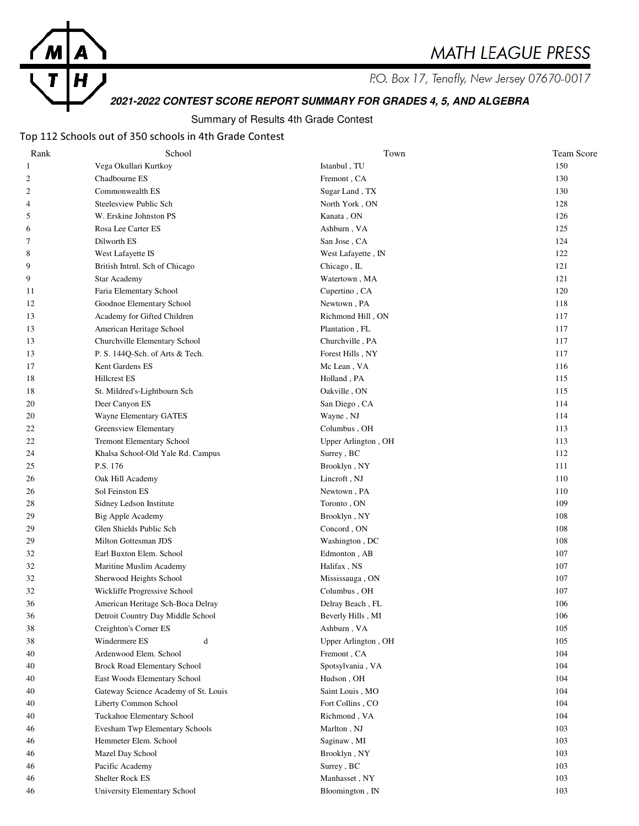

P.O. Box 17, Tenafly, New Jersey 07670-0017

# **2021-2022 CONTEST SCORE REPORT SUMMARY FOR GRADES 4, 5, AND ALGEBRA**

#### Summary of Results 4th Grade Contest

#### Top 112 Schools out of 350 schools in 4th Grade Contest

H

T

| Rank           | School                               | Town                            | Team Score |
|----------------|--------------------------------------|---------------------------------|------------|
| $\mathbf{1}$   | Vega Okullari Kurtkoy                | Istanbul, TU                    | 150        |
| $\mathfrak{2}$ | Chadbourne ES                        | Fremont, CA                     | 130        |
| $\mathfrak{2}$ | Commonwealth ES                      | Sugar Land, TX                  | 130        |
| 4              | Steelesview Public Sch               | North York, ON                  | 128        |
| 5              | W. Erskine Johnston PS               | Kanata, ON                      | 126        |
| 6              | Rosa Lee Carter ES                   | Ashburn, VA                     | 125        |
| 7              | Dilworth ES                          | San Jose, CA                    | 124        |
| 8              | West Lafayette IS                    | West Lafayette, IN              | 122        |
| 9              | British Intrnl. Sch of Chicago       | Chicago, IL                     | 121        |
| 9              | <b>Star Academy</b>                  | Watertown, MA                   | 121        |
| 11             | Faria Elementary School              | Cupertino, CA                   | 120        |
| 12             | Goodnoe Elementary School            | Newtown, PA                     | 118        |
| 13             | Academy for Gifted Children          | Richmond Hill, ON               | 117        |
| 13             | American Heritage School             | Plantation, FL                  | 117        |
| 13             | Churchville Elementary School        | Churchville, PA                 | 117        |
| 13             | P. S. 144Q-Sch. of Arts & Tech.      | Forest Hills, NY                | 117        |
| 17             | Kent Gardens ES                      | Mc Lean, VA                     | 116        |
| 18             | <b>Hillcrest ES</b>                  | Holland, PA                     | 115        |
| 18             | St. Mildred's-Lightbourn Sch         | Oakville, ON                    | 115        |
| 20             | Deer Canyon ES                       | San Diego, CA                   | 114        |
| 20             | Wayne Elementary GATES               | Wayne, NJ                       | 114        |
| 22             | Greensview Elementary                | Columbus, OH                    | 113        |
| 22             | <b>Tremont Elementary School</b>     | Upper Arlington, OH             | 113        |
| 24             | Khalsa School-Old Yale Rd. Campus    | Surrey, BC                      | 112        |
| 25             | P.S. 176                             | Brooklyn, NY                    | 111        |
| 26             | Oak Hill Academy                     | Lincroft, NJ                    | 110        |
| 26             | Sol Feinston ES                      | Newtown, PA                     | 110        |
| 28             | Sidney Ledson Institute              | $\mbox{ Toronto}$ , $\mbox{ON}$ | 109        |
| 29             | <b>Big Apple Academy</b>             | Brooklyn, NY                    | 108        |
| 29             | Glen Shields Public Sch              | Concord, ON                     | 108        |
| 29             | Milton Gottesman JDS                 | Washington, DC                  | 108        |
| 32             | Earl Buxton Elem. School             | Edmonton, AB                    | 107        |
| 32             | Maritine Muslim Academy              | Halifax, NS                     | 107        |
| 32             | Sherwood Heights School              | Mississauga, ON                 | 107        |
| 32             | Wickliffe Progressive School         | Columbus, OH                    | 107        |
| 36             | American Heritage Sch-Boca Delray    | Delray Beach, FL                | 106        |
| 36             | Detroit Country Day Middle School    | Beverly Hills, MI               | 106        |
| 38             | Creighton's Corner ES                | Ashburn, VA                     | 105        |
| 38             | Windermere ES<br>d                   | Upper Arlington, OH             | 105        |
| 40             | Ardenwood Elem. School               | Fremont, CA                     | 104        |
| 40             | <b>Brock Road Elementary School</b>  | Spotsylvania, VA                | 104        |
| 40             | East Woods Elementary School         | Hudson, OH                      | 104        |
| 40             | Gateway Science Academy of St. Louis | Saint Louis, MO                 | 104        |
| 40             | Liberty Common School                | Fort Collins, CO                | 104        |
| 40             | Tuckahoe Elementary School           | Richmond, VA                    | 104        |
| 46             | Evesham Twp Elementary Schools       | Marlton, NJ                     | 103        |
| 46             | Hemmeter Elem. School                | Saginaw, MI                     | 103        |
| 46             | Mazel Day School                     | Brooklyn, NY                    | 103        |
| 46             | Pacific Academy                      | Surrey, BC                      | 103        |
| 46             | Shelter Rock ES                      | Manhasset, NY                   | 103        |
| 46             | University Elementary School         | Bloomington, IN                 | 103        |
|                |                                      |                                 |            |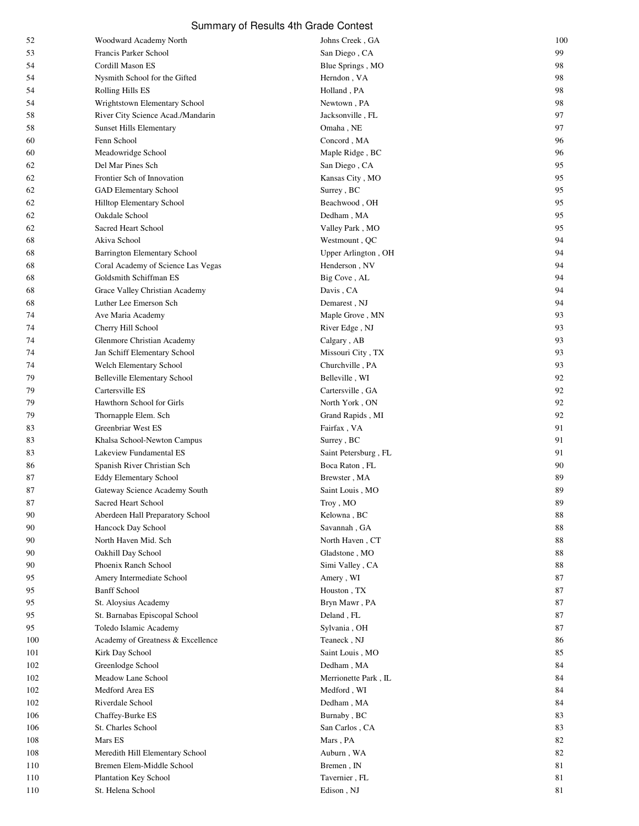| 52       | Woodward Academy North                                 | Johns Creek, GA      | 100      |
|----------|--------------------------------------------------------|----------------------|----------|
| 53       | Francis Parker School                                  | San Diego, CA        | 99       |
| 54       | Cordill Mason ES                                       | Blue Springs, MO     | 98       |
| 54       | Nysmith School for the Gifted                          | Herndon, VA          | 98       |
| 54       | Rolling Hills ES                                       | Holland, PA          | 98       |
| 54       | Wrightstown Elementary School                          | Newtown, PA          | 98       |
| 58       | River City Science Acad./Mandarin                      | Jacksonville, FL     | 97       |
| 58       | <b>Sunset Hills Elementary</b>                         | Omaha, NE            | 97       |
| 60       | Fenn School                                            | Concord, MA          | 96       |
| 60       | Meadowridge School                                     | Maple Ridge, BC      | 96       |
| 62       | Del Mar Pines Sch                                      | San Diego, CA        | 95       |
| 62       | Frontier Sch of Innovation                             | Kansas City, MO      | 95       |
| 62       | GAD Elementary School                                  | Surrey, BC           | 95       |
| 62       | Hilltop Elementary School                              | Beachwood, OH        | 95       |
| 62       | Oakdale School                                         | Dedham, MA           | 95       |
| 62       | Sacred Heart School                                    | Valley Park, MO      | 95       |
| 68       | Akiva School                                           | Westmount, QC        | 94       |
| 68       | <b>Barrington Elementary School</b>                    | Upper Arlington, OH  | 94       |
| 68       | Coral Academy of Science Las Vegas                     | Henderson, NV        | 94       |
| 68       | Goldsmith Schiffman ES                                 | Big Cove, AL         | 94       |
| 68       | Grace Valley Christian Academy                         | Davis, CA            | 94       |
|          | Luther Lee Emerson Sch                                 | Demarest, NJ         | 94       |
| 68       | Ave Maria Academy                                      | Maple Grove, MN      | 93       |
| 74<br>74 | Cherry Hill School                                     | River Edge, NJ       | 93       |
|          | Glenmore Christian Academy                             | Calgary, AB          | 93       |
| 74       |                                                        |                      | 93       |
| 74       | Jan Schiff Elementary School                           | Missouri City, TX    | 93       |
| 74       | Welch Elementary School                                | Churchville, PA      |          |
| 79       | <b>Belleville Elementary School</b><br>Cartersville ES | Belleville, WI       | 92       |
| 79       |                                                        | Cartersville, GA     | 92       |
| 79       | Hawthorn School for Girls                              | North York, ON       | 92       |
| 79       | Thornapple Elem. Sch                                   | Grand Rapids, MI     | 92       |
| 83       | Greenbriar West ES                                     | Fairfax, VA          | 91       |
| 83       | Khalsa School-Newton Campus                            | Surrey, BC           | 91       |
| 83       | Lakeview Fundamental ES                                | Saint Petersburg, FL | 91       |
| 86       | Spanish River Christian Sch                            | Boca Raton, FL       | 90       |
| 87       | <b>Eddy Elementary School</b>                          | Brewster, MA         | 89       |
| 87       | Gateway Science Academy South                          | Saint Louis, MO      | 89       |
| $87\,$   | Sacred Heart School                                    | Troy, MO             | 89       |
| 90       | Aberdeen Hall Preparatory School                       | Kelowna, BC          | 88       |
| 90       | Hancock Day School                                     | Savannah, GA         | 88       |
| 90       | North Haven Mid. Sch                                   | North Haven, CT      | $\bf 88$ |
| 90       | Oakhill Day School                                     | Gladstone, MO        | 88       |
| 90       | Phoenix Ranch School                                   | Simi Valley, CA      | 88       |
| 95       | Amery Intermediate School                              | Amery, WI            | 87       |
| 95       | <b>Banff School</b>                                    | Houston, TX          | 87       |
| 95       | St. Aloysius Academy                                   | Bryn Mawr, PA        | 87       |
| 95       | St. Barnabas Episcopal School                          | Deland, FL           | 87       |
| 95       | Toledo Islamic Academy                                 | Sylvania, OH         | 87       |
| 100      | Academy of Greatness & Excellence                      | Teaneck, NJ          | 86       |
| 101      | Kirk Day School                                        | Saint Louis, MO      | 85       |
| 102      | Greenlodge School                                      | Dedham, MA           | 84       |
| 102      | Meadow Lane School                                     | Merrionette Park, IL | 84       |
| 102      | Medford Area ES                                        | Medford, WI          | 84       |
| 102      | Riverdale School                                       | Dedham, MA           | 84       |
| 106      | Chaffey-Burke ES                                       | Burnaby, BC          | 83       |
| 106      | St. Charles School                                     | San Carlos, CA       | 83       |
| 108      | Mars ES                                                | Mars, PA             | 82       |
| 108      | Meredith Hill Elementary School                        | Auburn, WA           | 82       |
| 110      | Bremen Elem-Middle School                              | Bremen, IN           | 81       |
| 110      | Plantation Key School                                  | Tavernier, FL        | 81       |
| 110      | St. Helena School                                      | Edison, NJ           | 81       |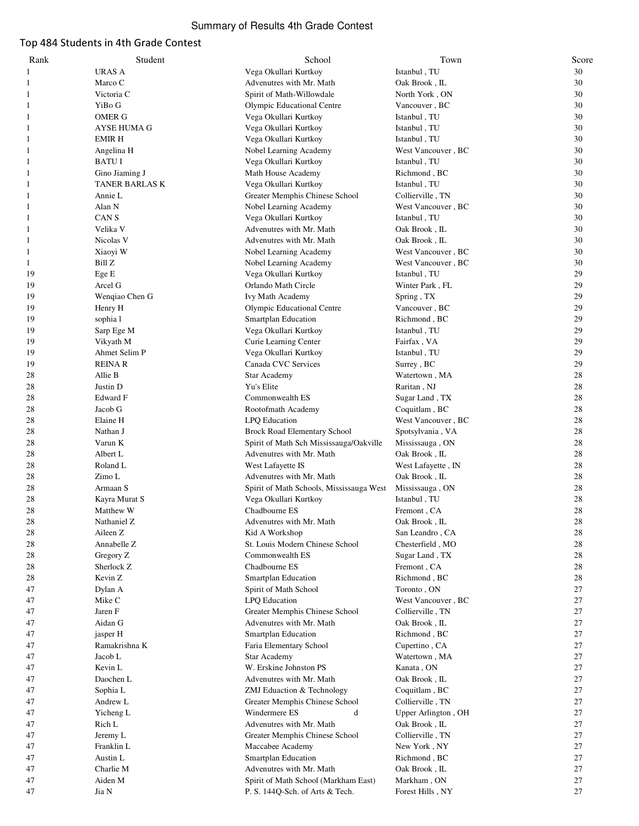#### Top 484 Students in 4th Grade Contest

| Rank     | Student                  | School                                         | Town                           | Score    |
|----------|--------------------------|------------------------------------------------|--------------------------------|----------|
| 1        | URAS A                   | Vega Okullari Kurtkoy                          | Istanbul, TU                   | 30       |
| 1        | Marco C                  | Advenutres with Mr. Math                       | Oak Brook, IL                  | 30       |
| 1        | Victoria C               | Spirit of Math-Willowdale                      | North York, ON                 | 30       |
| 1        | YiBo G                   | Olympic Educational Centre                     | Vancouver, BC                  | 30       |
| 1        | <b>OMER G</b>            | Vega Okullari Kurtkoy                          | Istanbul, TU                   | 30       |
| 1        | AYSE HUMA G              | Vega Okullari Kurtkoy                          | Istanbul, TU                   | 30       |
| 1        | <b>EMIRH</b>             | Vega Okullari Kurtkoy                          | Istanbul, TU                   | 30       |
| 1        | Angelina H               | Nobel Learning Academy                         | West Vancouver, BC             | 30       |
| 1        | <b>BATUI</b>             | Vega Okullari Kurtkoy                          | Istanbul, TU                   | 30       |
| 1        | Gino Jiaming J           | Math House Academy                             | Richmond, BC                   | 30       |
| 1        | TANER BARLAS K           | Vega Okullari Kurtkoy                          | Istanbul, TU                   | 30       |
| 1        | Annie L                  | Greater Memphis Chinese School                 | Collierville, TN               | 30       |
| 1        | Alan N                   | Nobel Learning Academy                         | West Vancouver, BC             | 30       |
| 1        | CAN S                    | Vega Okullari Kurtkoy                          | Istanbul, TU                   | 30       |
| 1        | Velika V                 | Advenutres with Mr. Math                       | Oak Brook, IL                  | 30       |
| 1        | Nicolas V                | Advenutres with Mr. Math                       | Oak Brook, IL                  | 30       |
| 1        | Xiaoyi W                 | Nobel Learning Academy                         | West Vancouver, BC             | 30       |
| 1        | Bill Z                   | Nobel Learning Academy                         | West Vancouver, BC             | 30       |
| 19       | Ege E                    | Vega Okullari Kurtkoy                          | Istanbul, TU                   | 29       |
| 19       | Arcel G                  | Orlando Math Circle                            | Winter Park, FL                | 29       |
| 19       | Wenqiao Chen G           | <b>Ivy Math Academy</b>                        | Spring, TX                     | 29       |
| 19       | Henry H                  | Olympic Educational Centre                     | Vancouver, BC                  | 29       |
| 19       | sophia l                 | Smartplan Education                            | Richmond, BC                   | 29       |
| 19       | Sarp Ege M               | Vega Okullari Kurtkoy                          | Istanbul, TU                   | 29       |
| 19       | Vikyath M                | Curie Learning Center                          | Fairfax, VA                    | 29       |
| 19       | Ahmet Selim P            | Vega Okullari Kurtkoy                          | Istanbul, TU                   | 29       |
| 19       | <b>REINAR</b>            | Canada CVC Services                            | Surrey, BC                     | 29       |
| 28       | Allie B                  | <b>Star Academy</b>                            | Watertown, MA                  | 28       |
| 28       | Justin D                 | Yu's Elite                                     | Raritan, NJ                    | 28       |
| 28       | Edward F                 | Commonwealth ES                                | Sugar Land, TX                 | 28       |
| 28       | Jacob G                  | Rootofmath Academy                             | Coquitlam, BC                  | 28       |
| 28       | Elaine H                 | LPQ Education                                  | West Vancouver, BC             | 28       |
| 28       | Nathan J                 | Brock Road Elementary School                   | Spotsylvania, VA               | 28       |
| 28       | Varun K                  | Spirit of Math Sch Mississauga/Oakville        | Mississauga, ON                | 28       |
| 28       | Albert L                 | Advenutres with Mr. Math                       | Oak Brook, IL                  | 28       |
| 28       | Roland L                 | West Lafayette IS                              | West Lafayette, IN             | 28       |
| 28       | Zimo L                   | Advenutres with Mr. Math                       | Oak Brook, IL                  | 28       |
| 28       | Armaan S                 | Spirit of Math Schools, Mississauga West       | Mississauga, ON                | 28       |
| 28       | Kayra Murat S            | Vega Okullari Kurtkoy                          | Istanbul, TU                   | 28       |
| 28       | Matthew W                | Chadbourne ES                                  | Fremont, CA                    | 28       |
| 28       | Nathaniel Z              | Advenutres with Mr. Math                       | Oak Brook, IL                  | $28\,$   |
| 28       | Aileen Z                 | Kid A Workshop                                 | San Leandro, CA                | 28       |
| 28       | Annabelle Z              | St. Louis Modern Chinese School                | Chesterfield, MO               | 28       |
| 28       | Gregory Z                | Commonwealth ES                                | Sugar Land, TX                 | 28       |
| 28       | Sherlock Z               | Chadbourne ES                                  | Fremont, CA                    | 28       |
| 28       | Kevin Z                  | Smartplan Education                            | Richmond, BC                   | 28       |
| 47       | Dylan A                  | Spirit of Math School                          | Toronto, ON                    | 27       |
| 47       | Mike C                   | <b>LPQ</b> Education                           | West Vancouver, BC             | 27       |
| 47       | Jaren F                  | Greater Memphis Chinese School                 | Collierville, TN               | 27       |
| 47       | Aidan G                  | Advenutres with Mr. Math                       | Oak Brook, IL                  | 27       |
| 47       | jasper H                 | Smartplan Education                            | Richmond, BC                   | 27       |
| 47<br>47 | Ramakrishna K<br>Jacob L | Faria Elementary School<br><b>Star Academy</b> | Cupertino, CA<br>Watertown, MA | 27<br>27 |
|          | Kevin L                  | W. Erskine Johnston PS                         | Kanata, ON                     | 27       |
| 47<br>47 | Daochen L                | Advenutres with Mr. Math                       | Oak Brook, IL                  | 27       |
| 47       | Sophia L                 | ZMJ Eduaction & Technology                     | Coquitlam, BC                  | 27       |
| 47       | Andrew L                 | Greater Memphis Chinese School                 | Collierville, TN               | 27       |
| 47       | Yicheng L                | Windermere ES<br>d                             | Upper Arlington, OH            | 27       |
| 47       | Rich L                   | Advenutres with Mr. Math                       | Oak Brook, IL                  | 27       |
| 47       | Jeremy L                 | Greater Memphis Chinese School                 | Collierville, TN               | 27       |
| 47       | Franklin L               | Maccabee Academy                               | New York, NY                   | 27       |
| 47       | Austin L                 | Smartplan Education                            | Richmond, BC                   | 27       |
| 47       | Charlie M                | Advenutres with Mr. Math                       | Oak Brook , ${\rm IL}$         | 27       |
| 47       | Aiden M                  | Spirit of Math School (Markham East)           | Markham, ON                    | 27       |
| 47       | Jia N                    | P. S. 144Q-Sch. of Arts & Tech.                | Forest Hills, NY               | 27       |
|          |                          |                                                |                                |          |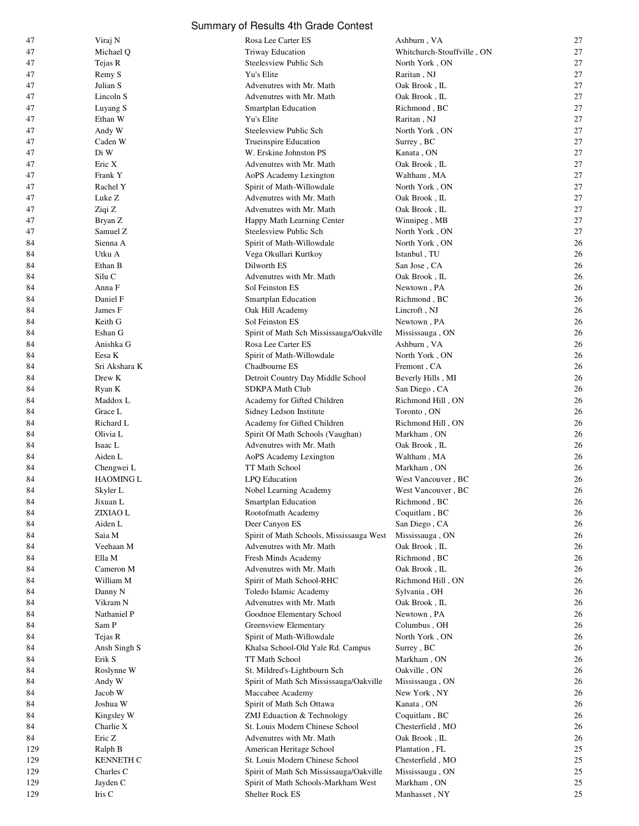| 47       | Viraj N            | Rosa Lee Carter ES                                 | Ashburn, VA                                     | 27       |
|----------|--------------------|----------------------------------------------------|-------------------------------------------------|----------|
| 47       | Michael Q          | <b>Triway Education</b>                            | Whitchurch-Stouffville, ON                      | 27       |
| 47       | Tejas R            | Steelesview Public Sch                             | North York, ON                                  | 27       |
| 47       | Remy S             | Yu's Elite                                         | Raritan, NJ                                     | 27       |
| 47       | Julian S           | Advenutres with Mr. Math                           | Oak Brook, IL                                   | 27       |
| 47       | Lincoln S          | Advenutres with Mr. Math                           | Oak Brook, IL                                   | 27       |
| 47       | Luyang S           | <b>Smartplan Education</b>                         | Richmond, BC                                    | 27       |
| 47       | Ethan W            | Yu's Elite                                         | Raritan, NJ                                     | 27       |
| 47       | Andy W             | Steelesview Public Sch                             | North York, ON                                  | 27       |
| 47       | Caden W            | Trueinspire Education                              | Surrey, BC                                      | 27       |
| 47       | Di W               | W. Erskine Johnston PS                             | Kanata , ON                                     | 27       |
| 47       | Eric X             | Advenutres with Mr. Math                           | Oak Brook, IL                                   | 27       |
| 47       | Frank Y            | AoPS Academy Lexington                             | Waltham , MA                                    | 27       |
| 47       | Rachel Y           | Spirit of Math-Willowdale                          | North York, ON                                  | 27       |
| 47       | Luke Z             | Advenutres with Mr. Math                           | Oak Brook, IL                                   | 27       |
| 47       | Ziqi Z             | Advenutres with Mr. Math                           | Oak Brook, IL                                   | 27       |
| 47       | Bryan Z            | Happy Math Learning Center                         | Winnipeg, MB                                    | 27       |
| 47       | Samuel Z           | Steelesview Public Sch                             | North York, ON                                  | 27       |
| 84       | Sienna A           | Spirit of Math-Willowdale                          | North York, ON                                  | 26       |
| 84       | Utku A             | Vega Okullari Kurtkoy                              | Istanbul, TU                                    | 26       |
| 84       | Ethan B            | Dilworth ES                                        | $\operatorname{San}$ Jose , $\operatorname{CA}$ | 26       |
| 84       | Silu C             | Advenutres with Mr. Math                           | Oak Brook, IL                                   | 26       |
| 84       | Anna F             | Sol Feinston ES                                    | Newtown, PA                                     | 26       |
| 84       | Daniel F           | Smartplan Education                                | Richmond, BC                                    | 26       |
| 84       | James F            | Oak Hill Academy                                   | Lincroft, NJ                                    | 26       |
| 84       | Keith G            | Sol Feinston ES                                    | Newtown, PA                                     | 26       |
| 84       | Eshan G            | Spirit of Math Sch Mississauga/Oakville            | Mississauga, ON                                 | 26       |
| 84       | Anishka G          | Rosa Lee Carter ES                                 | Ashburn, VA                                     | 26       |
| 84       | Eesa K             | Spirit of Math-Willowdale                          | North York, ON                                  | 26       |
| 84       | Sri Akshara K      | Chadbourne ES                                      | Fremont, CA                                     | 26       |
| 84       | Drew K             | Detroit Country Day Middle School                  | Beverly Hills, MI                               | 26       |
| 84       | Ryan K             | <b>SDKPA Math Club</b>                             | San Diego, CA                                   | 26       |
| 84       | Maddox L           | Academy for Gifted Children                        | Richmond Hill, ON                               | 26       |
| 84       | Grace L            | Sidney Ledson Institute                            | Toronto, ON                                     | 26       |
| 84       | Richard L          | Academy for Gifted Children                        | Richmond Hill, ON                               | 26       |
| 84       | Olivia L           | Spirit Of Math Schools (Vaughan)                   | Markham, ON                                     | 26<br>26 |
| 84       | Isaac L<br>Aiden L | Advenutres with Mr. Math<br>AoPS Academy Lexington | Oak Brook, IL                                   | 26       |
| 84<br>84 | Chengwei L         | TT Math School                                     | Waltham, MA<br>Markham, ON                      | 26       |
| 84       | <b>HAOMING L</b>   | LPQ Education                                      | West Vancouver, BC                              | 26       |
| 84       | Skyler L           | Nobel Learning Academy                             | West Vancouver, BC                              | 26       |
| 84       | Jixuan L           | Smartplan Education                                | Richmond, BC                                    | 26       |
| 84       | ZIXIAO L           | Rootofmath Academy                                 | Coquitlam, BC                                   | 26       |
| 84       | Aiden L            | Deer Canyon ES                                     | San Diego, CA                                   | 26       |
| 84       | Saia M             | Spirit of Math Schools, Mississauga West           | Mississauga, ON                                 | 26       |
| 84       | Veehaan M          | Advenutres with Mr. Math                           | Oak Brook, IL                                   | 26       |
| 84       | Ella M             | Fresh Minds Academy                                | Richmond, BC                                    | 26       |
| 84       | Cameron M          | Advenutres with Mr. Math                           | Oak Brook, IL                                   | 26       |
| 84       | William M          | Spirit of Math School-RHC                          | Richmond Hill, ON                               | 26       |
| 84       | Danny N            | Toledo Islamic Academy                             | Sylvania, OH                                    | 26       |
| 84       | Vikram N           | Advenutres with Mr. Math                           | Oak Brook, IL                                   | 26       |
| 84       | Nathaniel P        | Goodnoe Elementary School                          | Newtown, PA                                     | 26       |
| 84       | Sam P              | Greensview Elementary                              | Columbus, OH                                    | 26       |
| 84       | Tejas R            | Spirit of Math-Willowdale                          | North York, ON                                  | 26       |
| 84       | Ansh Singh S       | Khalsa School-Old Yale Rd. Campus                  | Surrey, BC                                      | 26       |
| 84       | Erik S             | TT Math School                                     | Markham, ON                                     | 26       |
| 84       | Roslynne W         | St. Mildred's-Lightbourn Sch                       | Oakville, ON                                    | 26       |
| 84       | Andy W             | Spirit of Math Sch Mississauga/Oakville            | Mississauga, ON                                 | 26       |
| 84       | Jacob W            | Maccabee Academy                                   | New York, NY                                    | 26       |
| 84       | Joshua W           | Spirit of Math Sch Ottawa                          | Kanata, ON                                      | 26       |
| 84       | Kingsley W         | ZMJ Eduaction & Technology                         | Coquitlam, BC                                   | 26       |
| 84       | Charlie X          | St. Louis Modern Chinese School                    | Chesterfield, MO                                | 26       |
| 84       | Eric Z             | Advenutres with Mr. Math                           | Oak Brook, IL                                   | 26       |
| 129      | Ralph B            | American Heritage School                           | Plantation, FL                                  | 25       |
| 129      | <b>KENNETH C</b>   | St. Louis Modern Chinese School                    | Chesterfield, MO                                | 25       |
| 129      | Charles C          | Spirit of Math Sch Mississauga/Oakville            | Mississauga, ON                                 | 25       |
| 129      | Jayden C           | Spirit of Math Schools-Markham West                | Markham , ON                                    | 25       |
| 129      | Iris C             | Shelter Rock ES                                    | Manhasset, NY                                   | 25       |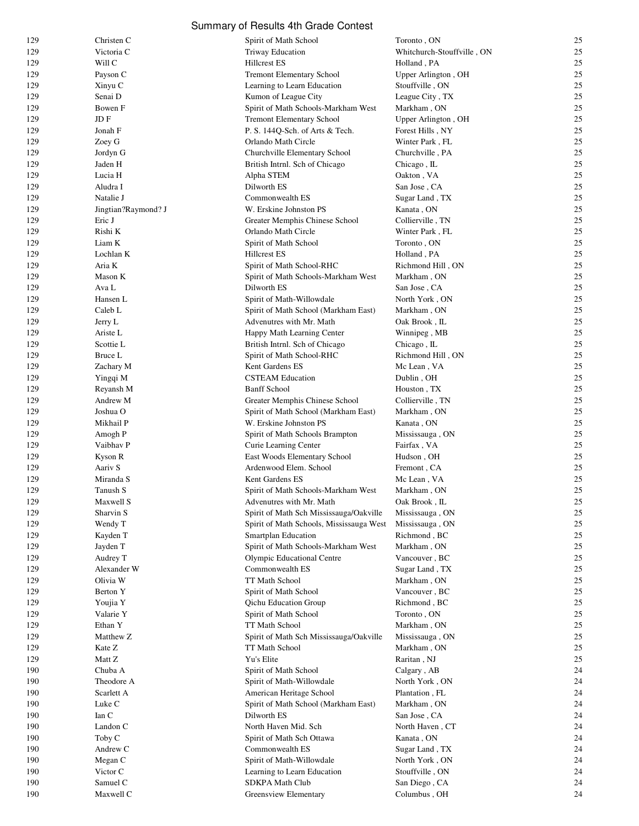|            |                       | Summary of Results 4th Grade Contest                   |                              |          |
|------------|-----------------------|--------------------------------------------------------|------------------------------|----------|
| 129        | Christen C            | Spirit of Math School                                  | Toronto, ON                  | 25       |
| 129        | Victoria C            | Triway Education                                       | Whitchurch-Stouffville, ON   | 25       |
| 129        | Will C                | <b>Hillcrest ES</b>                                    | Holland, PA                  | 25       |
| 129        | Payson C              | <b>Tremont Elementary School</b>                       | Upper Arlington, OH          | 25       |
| 129        | Xinyu C               | Learning to Learn Education                            | Stouffville, ON              | 25       |
| 129        | Senai D               | Kumon of League City                                   | League City, TX              | 25       |
| 129        | Bowen F               | Spirit of Math Schools-Markham West                    | Markham, ON                  | 25       |
| 129        | JD F                  | <b>Tremont Elementary School</b>                       | Upper Arlington, OH          | 25       |
| 129        | Jonah F               | P. S. 144Q-Sch. of Arts & Tech.                        | Forest Hills, NY             | 25       |
| 129        | Zoey G                | Orlando Math Circle                                    | Winter Park, FL              | 25       |
| 129        | Jordyn G              | Churchville Elementary School                          | Churchville, PA              | 25       |
| 129        | Jaden H               | British Intrnl. Sch of Chicago                         | Chicago, IL                  | 25       |
| 129        | Lucia H               | Alpha STEM                                             | Oakton, VA                   | 25<br>25 |
| 129<br>129 | Aludra I<br>Natalie J | Dilworth ES<br>Commonwealth ES                         | San Jose, CA                 | 25       |
| 129        | Jingtian?Raymond? J   | W. Erskine Johnston PS                                 | Sugar Land, TX<br>Kanata, ON | 25       |
| 129        | Eric J                | Greater Memphis Chinese School                         | Collierville, TN             | 25       |
| 129        | Rishi K               | Orlando Math Circle                                    | Winter Park, FL              | 25       |
| 129        | Liam K                | Spirit of Math School                                  | Toronto, ON                  | 25       |
| 129        | Lochlan K             | <b>Hillcrest ES</b>                                    | Holland, PA                  | 25       |
| 129        | Aria K                | Spirit of Math School-RHC                              | Richmond Hill, ON            | 25       |
| 129        | Mason K               | Spirit of Math Schools-Markham West                    | Markham, ON                  | 25       |
| 129        | Ava L                 | Dilworth ES                                            | San Jose, CA                 | 25       |
| 129        | Hansen L              | Spirit of Math-Willowdale                              | North York, ON               | 25       |
| 129        | Caleb L               | Spirit of Math School (Markham East)                   | Markham, ON                  | 25       |
| 129        | Jerry L               | Advenutres with Mr. Math                               | Oak Brook, IL                | 25       |
| 129        | Ariste L              | Happy Math Learning Center                             | Winnipeg, MB                 | 25       |
| 129        | Scottie L             | British Intrnl. Sch of Chicago                         | Chicago, IL                  | 25       |
| 129        | Bruce L               | Spirit of Math School-RHC                              | Richmond Hill, ON            | 25       |
| 129        | Zachary M             | Kent Gardens ES                                        | Mc Lean, VA                  | 25       |
| 129        | Yingqi M              | <b>CSTEAM Education</b>                                | Dublin, OH                   | 25       |
| 129        | Reyansh M             | <b>Banff School</b>                                    | Houston, TX                  | 25       |
| 129        | Andrew M              | Greater Memphis Chinese School                         | Collierville, TN             | 25       |
| 129        | Joshua O              | Spirit of Math School (Markham East)                   | Markham, ON                  | 25       |
| 129        | Mikhail P             | W. Erskine Johnston PS                                 | Kanata, ON                   | 25       |
| 129        | Amogh P               | Spirit of Math Schools Brampton                        | Mississauga, ON              | 25       |
| 129        | Vaibhav P             | Curie Learning Center                                  | Fairfax, VA                  | 25       |
| 129        | Kyson R<br>Aariv S    | East Woods Elementary School<br>Ardenwood Elem. School | Hudson, OH<br>Fremont, CA    | 25       |
| 129<br>129 | Miranda S             | Kent Gardens ES                                        | Mc Lean, VA                  | 25<br>25 |
| 129        | Tanush S              | Spirit of Math Schools-Markham West                    | Markham, ON                  | 25       |
| 129        | Maxwell S             | Advenutres with Mr. Math                               | Oak Brook, IL                | 25       |
| 129        | Sharvin S             | Spirit of Math Sch Mississauga/Oakville                | Mississauga, ON              | 25       |
| 129        | Wendy T               | Spirit of Math Schools, Mississauga West               | Mississauga, ON              | 25       |
| 129        | Kayden T              | <b>Smartplan Education</b>                             | Richmond, BC                 | 25       |
| 129        | Jayden T              | Spirit of Math Schools-Markham West                    | Markham, ON                  | 25       |
| 129        | Audrey T              | Olympic Educational Centre                             | Vancouver, BC                | 25       |
| 129        | Alexander W           | Commonwealth ES                                        | Sugar Land, TX               | 25       |
| 129        | Olivia W              | TT Math School                                         | Markham, ON                  | 25       |
| 129        | Berton Y              | Spirit of Math School                                  | Vancouver, BC                | 25       |
| 129        | Youjia Y              | <b>Qichu Education Group</b>                           | Richmond, BC                 | 25       |
| 129        | Valarie Y             | Spirit of Math School                                  | Toronto, ON                  | 25       |
| 129        | Ethan Y               | TT Math School                                         | Markham, ON                  | 25       |
| 129        | Matthew Z             | Spirit of Math Sch Mississauga/Oakville                | Mississauga, ON              | 25       |
| 129        | Kate Z                | TT Math School                                         | Markham, ON                  | 25       |
| 129        | Matt Z                | Yu's Elite                                             | Raritan, NJ                  | 25       |
| 190        | Chuba A               | Spirit of Math School                                  | Calgary, AB                  | 24       |
| 190        | Theodore A            | Spirit of Math-Willowdale                              | North York, ON               | 24       |
| 190        | Scarlett A            | American Heritage School                               | Plantation, FL               | 24       |
| 190<br>190 | Luke C<br>Ian C       | Spirit of Math School (Markham East)<br>Dilworth ES    | Markham, ON<br>San Jose, CA  | 24<br>24 |
| 190        | Landon C              | North Haven Mid. Sch                                   | North Haven, CT              | 24       |
| 190        | Toby C                | Spirit of Math Sch Ottawa                              | Kanata, ON                   | 24       |
| 190        | Andrew C              | Commonwealth ES                                        | Sugar Land, TX               | 24       |
| 190        | Megan C               | Spirit of Math-Willowdale                              | North York, ON               | 24       |
| 190        | Victor C              | Learning to Learn Education                            | Stouffville, ON              | 24       |
| 190        | Samuel C              | SDKPA Math Club                                        | San Diego, CA                | 24       |
| 190        | Maxwell C             | Greensview Elementary                                  | Columbus, OH                 | 24       |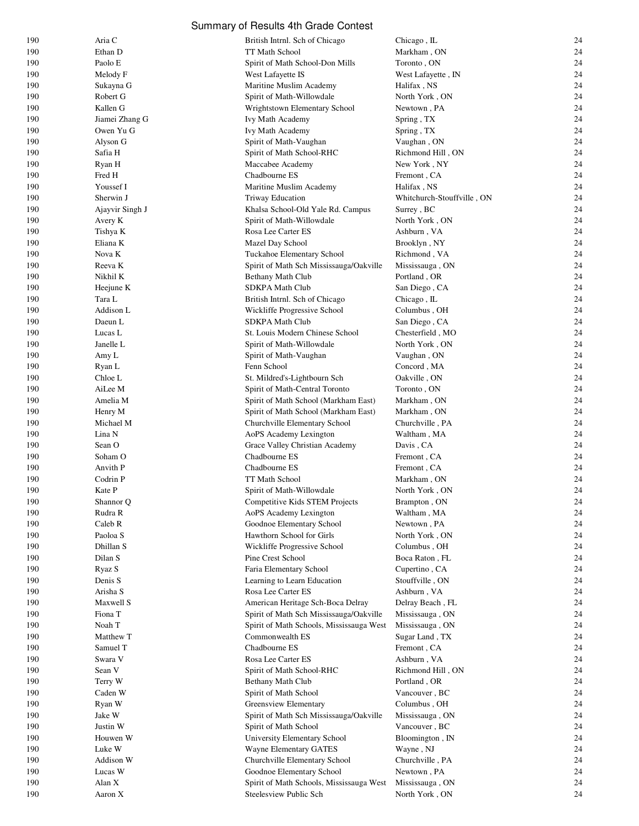| 190 | Aria C          | British Intrnl. Sch of Chicago           | Chicago, IL                | 24 |
|-----|-----------------|------------------------------------------|----------------------------|----|
| 190 | Ethan D         | TT Math School                           | Markham, ON                | 24 |
| 190 | Paolo E         | Spirit of Math School-Don Mills          | Toronto, ON                | 24 |
| 190 | Melody F        | West Lafayette IS                        | West Lafayette, IN         | 24 |
| 190 | Sukayna G       | Maritine Muslim Academy                  | Halifax, NS                | 24 |
|     |                 |                                          |                            |    |
| 190 | Robert G        | Spirit of Math-Willowdale                | North York, ON             | 24 |
| 190 | Kallen G        | Wrightstown Elementary School            | Newtown, PA                | 24 |
| 190 | Jiamei Zhang G  | Ivy Math Academy                         | Spring, TX                 | 24 |
| 190 | Owen Yu G       | Ivy Math Academy                         | Spring, TX                 | 24 |
| 190 | Alyson G        | Spirit of Math-Vaughan                   | Vaughan, ON                | 24 |
| 190 | Safia H         | Spirit of Math School-RHC                | Richmond Hill, ON          | 24 |
| 190 | Ryan H          | Maccabee Academy                         | New York, NY               | 24 |
| 190 | Fred H          | Chadbourne ES                            | Fremont, CA                | 24 |
| 190 | Youssef I       | Maritine Muslim Academy                  | Halifax, NS                | 24 |
|     |                 |                                          |                            |    |
| 190 | Sherwin J       | <b>Triway Education</b>                  | Whitchurch-Stouffville, ON | 24 |
| 190 | Ajayvir Singh J | Khalsa School-Old Yale Rd. Campus        | Surrey, BC                 | 24 |
| 190 | Avery K         | Spirit of Math-Willowdale                | North York, ON             | 24 |
| 190 | Tishya K        | Rosa Lee Carter ES                       | Ashburn, VA                | 24 |
| 190 | Eliana K        | Mazel Day School                         | Brooklyn, NY               | 24 |
| 190 | Nova K          | Tuckahoe Elementary School               | Richmond, VA               | 24 |
| 190 | Reeva K         | Spirit of Math Sch Mississauga/Oakville  | Mississauga, ON            | 24 |
| 190 | Nikhil K        | Bethany Math Club                        | Portland, OR               | 24 |
| 190 | Heejune K       | <b>SDKPA Math Club</b>                   | San Diego, CA              | 24 |
|     | Tara L          |                                          | Chicago, IL                | 24 |
| 190 |                 | British Intrnl. Sch of Chicago           |                            |    |
| 190 | Addison L       | Wickliffe Progressive School             | Columbus, OH               | 24 |
| 190 | Daeun L         | <b>SDKPA Math Club</b>                   | San Diego, CA              | 24 |
| 190 | Lucas L         | St. Louis Modern Chinese School          | Chesterfield, MO           | 24 |
| 190 | Janelle L       | Spirit of Math-Willowdale                | North York, ON             | 24 |
| 190 | Amy L           | Spirit of Math-Vaughan                   | Vaughan, ON                | 24 |
| 190 | Ryan L          | Fenn School                              | Concord, MA                | 24 |
| 190 | Chloe L         | St. Mildred's-Lightbourn Sch             | Oakville, ON               | 24 |
| 190 | AiLee M         | Spirit of Math-Central Toronto           | Toronto, ON                | 24 |
| 190 | Amelia M        | Spirit of Math School (Markham East)     | Markham, ON                | 24 |
|     |                 |                                          |                            |    |
| 190 | Henry M         | Spirit of Math School (Markham East)     | Markham, ON                | 24 |
| 190 | Michael M       | Churchville Elementary School            | Churchville, PA            | 24 |
| 190 | Lina N          | AoPS Academy Lexington                   | Waltham, MA                | 24 |
| 190 | Sean O          | Grace Valley Christian Academy           | Davis, CA                  | 24 |
| 190 | Soham O         | Chadbourne ES                            | Fremont, CA                | 24 |
| 190 | Anvith P        | Chadbourne ES                            | Fremont, CA                | 24 |
| 190 | Codrin P        | TT Math School                           | Markham, ON                | 24 |
| 190 | Kate P          | Spirit of Math-Willowdale                | North York, ON             | 24 |
| 190 | Shannor Q       | Competitive Kids STEM Projects           | Brampton, ON               | 24 |
| 190 | Rudra R         | AoPS Academy Lexington                   | Waltham, MA                | 24 |
|     |                 |                                          |                            |    |
| 190 | Caleb R         | Goodnoe Elementary School                | Newtown, PA                | 24 |
| 190 | Paoloa S        | Hawthorn School for Girls                | North York, ON             | 24 |
| 190 | Dhillan S       | Wickliffe Progressive School             | Columbus, OH               | 24 |
| 190 | Dilan S         | Pine Crest School                        | Boca Raton, FL             | 24 |
| 190 | Ryaz S          | Faria Elementary School                  | Cupertino, CA              | 24 |
| 190 | Denis S         | Learning to Learn Education              | Stouffville, ON            | 24 |
| 190 | Arisha S        | Rosa Lee Carter ES                       | Ashburn, VA                | 24 |
| 190 | Maxwell S       | American Heritage Sch-Boca Delray        | Delray Beach, FL           | 24 |
| 190 | Fiona T         | Spirit of Math Sch Mississauga/Oakville  | Mississauga, ON            | 24 |
| 190 | Noah T          | Spirit of Math Schools, Mississauga West | Mississauga, ON            | 24 |
|     |                 |                                          |                            |    |
| 190 | Matthew T       | Commonwealth ES                          | Sugar Land, TX             | 24 |
| 190 | Samuel T        | Chadbourne ES                            | Fremont, CA                | 24 |
| 190 | Swara V         | Rosa Lee Carter ES                       | Ashburn, VA                | 24 |
| 190 | Sean V          | Spirit of Math School-RHC                | Richmond Hill, ON          | 24 |
| 190 | Terry W         | Bethany Math Club                        | Portland, OR               | 24 |
| 190 | Caden W         | Spirit of Math School                    | Vancouver, BC              | 24 |
| 190 | Ryan W          | Greensview Elementary                    | Columbus, OH               | 24 |
| 190 | Jake W          | Spirit of Math Sch Mississauga/Oakville  | Mississauga, ON            | 24 |
| 190 | Justin W        | Spirit of Math School                    | Vancouver, BC              | 24 |
| 190 | Houwen W        | University Elementary School             | Bloomington, IN            | 24 |
|     |                 |                                          |                            |    |
| 190 | Luke W          | Wayne Elementary GATES                   | Wayne, NJ                  | 24 |
| 190 | Addison W       | Churchville Elementary School            | Churchville, PA            | 24 |
| 190 | Lucas W         | Goodnoe Elementary School                | Newtown, PA                | 24 |
| 190 | Alan X          | Spirit of Math Schools, Mississauga West | Mississauga, ON            | 24 |
| 190 | Aaron X         | Steelesview Public Sch                   | North York, ON             | 24 |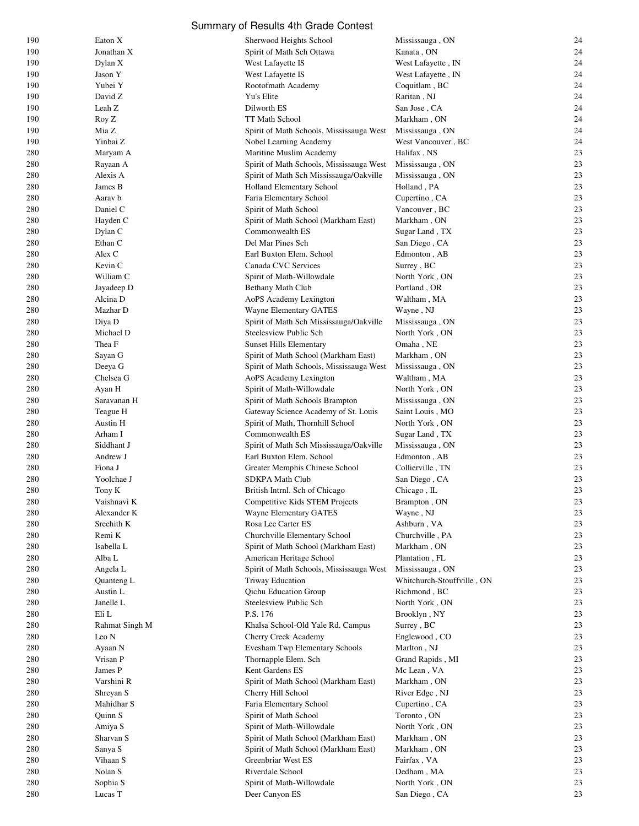| 190        | Eaton X                | Sherwood Heights School                                              | Mississauga, ON                   | 24       |
|------------|------------------------|----------------------------------------------------------------------|-----------------------------------|----------|
| 190        | Jonathan X             | Spirit of Math Sch Ottawa                                            | Kanata, ON                        | 24       |
| 190        | Dylan X                | West Lafayette IS                                                    | West Lafayette, IN                | 24       |
| 190        | Jason Y                | West Lafayette IS                                                    | West Lafayette, IN                | 24       |
| 190        | Yubei Y                | Rootofmath Academy                                                   | Coquitlam, BC                     | 24       |
| 190        | David Z                | Yu's Elite                                                           | Raritan, NJ                       | 24       |
| 190        | Leah Z                 | Dilworth ES                                                          | San Jose, CA                      | 24       |
| 190        | Roy Z                  | TT Math School                                                       | Markham, ON                       | 24       |
| 190        | Mia Z                  | Spirit of Math Schools, Mississauga West                             | Mississauga, ON                   | 24       |
| 190        | Yinbai Z               | Nobel Learning Academy                                               | West Vancouver, BC                | 24       |
| 280        | Maryam A               | Maritine Muslim Academy                                              | Halifax, NS                       | 23       |
| 280        | Rayaan A               | Spirit of Math Schools, Mississauga West                             | Mississauga, ON                   | 23       |
| 280        | Alexis A               | Spirit of Math Sch Mississauga/Oakville                              | Mississauga, ON                   | 23       |
| 280        | James B                | Holland Elementary School                                            | Holland, PA                       | 23       |
| 280        | Aarav b                | Faria Elementary School                                              | Cupertino, CA                     | 23       |
| 280        | Daniel C               | Spirit of Math School                                                | Vancouver, BC                     | 23       |
| 280        | Hayden C               | Spirit of Math School (Markham East)                                 | Markham, ON                       | 23<br>23 |
| 280<br>280 | Dylan C<br>Ethan C     | Commonwealth ES<br>Del Mar Pines Sch                                 | Sugar Land, TX<br>San Diego, CA   | 23       |
| 280        | Alex C                 | Earl Buxton Elem. School                                             | Edmonton, AB                      | 23       |
| 280        | Kevin C                | Canada CVC Services                                                  | Surrey, BC                        | 23       |
| 280        | William C              | Spirit of Math-Willowdale                                            | North York, ON                    | 23       |
| 280        | Jayadeep D             | Bethany Math Club                                                    | Portland, OR                      | 23       |
| 280        | Alcina D               | AoPS Academy Lexington                                               | Waltham, MA                       | 23       |
| 280        | Mazhar D               | Wayne Elementary GATES                                               | Wayne, NJ                         | 23       |
| 280        | Diya D                 | Spirit of Math Sch Mississauga/Oakville                              | Mississauga, ON                   | 23       |
| 280        | Michael D              | Steelesview Public Sch                                               | North York, ON                    | 23       |
| 280        | Thea F                 | <b>Sunset Hills Elementary</b>                                       | Omaha, NE                         | 23       |
| 280        | Sayan G                | Spirit of Math School (Markham East)                                 | Markham, ON                       | 23       |
| 280        | Deeya G                | Spirit of Math Schools, Mississauga West                             | Mississauga, ON                   | 23       |
| 280        | Chelsea G              | AoPS Academy Lexington                                               | Waltham, MA                       | 23       |
| 280        | Ayan H                 | Spirit of Math-Willowdale                                            | North York, ON                    | 23       |
| 280        | Saravanan H            | Spirit of Math Schools Brampton                                      | Mississauga, ON                   | 23       |
| 280        | Teague H               | Gateway Science Academy of St. Louis                                 | Saint Louis, MO                   | 23       |
| 280        | Austin H               | Spirit of Math, Thornhill School                                     | North York, ON                    | 23       |
| 280        | Arham I                | Commonwealth ES                                                      | Sugar Land, TX                    | 23       |
| 280        | Siddhant J             | Spirit of Math Sch Mississauga/Oakville                              | Mississauga, ON                   | 23       |
| 280        | Andrew J               | Earl Buxton Elem. School                                             | Edmonton, AB                      | 23       |
| 280        | Fiona J                | Greater Memphis Chinese School                                       | Collierville, TN                  | 23       |
| 280        | Yoolchae J             | <b>SDKPA Math Club</b>                                               | San Diego, CA                     | 23       |
| 280        | Tony K                 | British Intrnl. Sch of Chicago                                       | Chicago, IL                       | 23       |
| 280        | Vaishnavi K            | <b>Competitive Kids STEM Projects</b>                                | Brampton, ON                      | 23       |
| 280        | Alexander K            | Wayne Elementary GATES                                               | Wayne, NJ                         | 23       |
| 280        | Sreehith K             | Rosa Lee Carter ES                                                   | Ashburn, VA                       | 23       |
| 280        | Remi K                 | Churchville Elementary School                                        | Churchville, PA                   | 23       |
| 280        | Isabella L             | Spirit of Math School (Markham East)                                 | Markham, ON                       | 23       |
| 280        | Alba L                 | American Heritage School<br>Spirit of Math Schools, Mississauga West | Plantation, FL<br>Mississauga, ON | 23<br>23 |
| 280<br>280 | Angela L<br>Quanteng L | Triway Education                                                     | Whitchurch-Stouffville, ON        | 23       |
| 280        | Austin L               | Qichu Education Group                                                | Richmond, BC                      | 23       |
| 280        | Janelle L              | Steelesview Public Sch                                               | North York, ON                    | 23       |
| 280        | Eli L                  | P.S. 176                                                             | Brooklyn, NY                      | 23       |
| 280        | Rahmat Singh M         | Khalsa School-Old Yale Rd. Campus                                    | Surrey, BC                        | 23       |
| 280        | Leo N                  | Cherry Creek Academy                                                 | Englewood, CO                     | 23       |
| 280        | Ayaan N                | Evesham Twp Elementary Schools                                       | Marlton, NJ                       | 23       |
| 280        | Vrisan P               | Thornapple Elem. Sch                                                 | Grand Rapids, MI                  | 23       |
| 280        | James P                | Kent Gardens ES                                                      | Mc Lean, VA                       | 23       |
| 280        | Varshini R             | Spirit of Math School (Markham East)                                 | Markham, ON                       | 23       |
| 280        | Shreyan S              | Cherry Hill School                                                   | River Edge, NJ                    | 23       |
| 280        | Mahidhar S             | Faria Elementary School                                              | Cupertino, CA                     | 23       |
| 280        | Quinn S                | Spirit of Math School                                                | Toronto, ON                       | 23       |
| 280        | Amiya S                | Spirit of Math-Willowdale                                            | North York, ON                    | 23       |
| 280        | Sharvan S              | Spirit of Math School (Markham East)                                 | Markham, ON                       | 23       |
| 280        | Sanya S                | Spirit of Math School (Markham East)                                 | Markham, ON                       | 23       |
| 280        | Vihaan S               | Greenbriar West ES                                                   | Fairfax, VA                       | 23       |
| 280        | Nolan S                | Riverdale School                                                     | Dedham, MA                        | 23       |
| 280        | Sophia S               | Spirit of Math-Willowdale                                            | North York, ON                    | 23       |
| 280        | Lucas T                | Deer Canyon ES                                                       | San Diego, CA                     | 23       |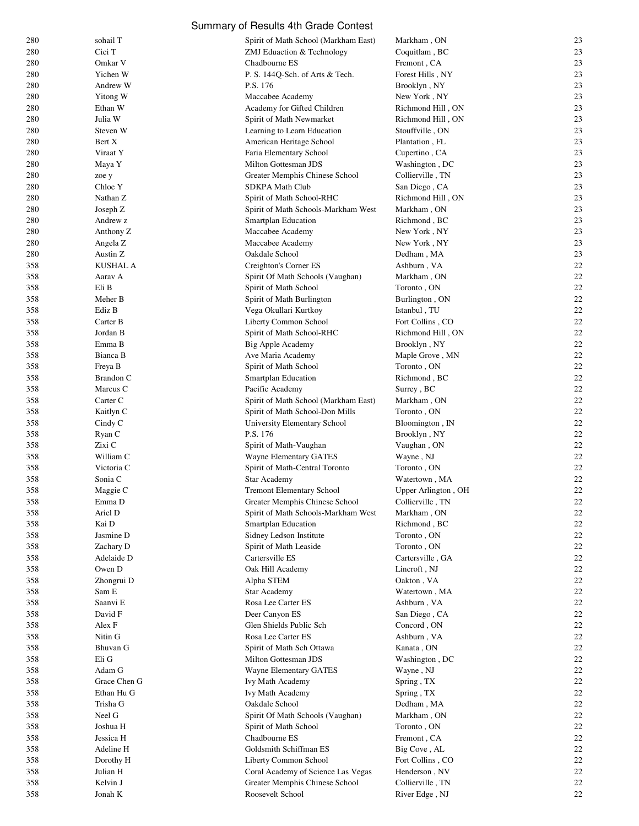| 280 | sohail T        | Spirit of Math School (Markham East) | Markham, ON         | 23 |
|-----|-----------------|--------------------------------------|---------------------|----|
| 280 | Cici T          | ZMJ Eduaction & Technology           | Coquitlam, BC       | 23 |
| 280 | Omkar V         | Chadbourne ES                        | Fremont, CA         | 23 |
| 280 | Yichen W        | P. S. 144Q-Sch. of Arts & Tech.      | Forest Hills, NY    | 23 |
|     |                 |                                      |                     | 23 |
| 280 | Andrew W        | P.S. 176                             | Brooklyn, NY        |    |
| 280 | Yitong W        | Maccabee Academy                     | New York, NY        | 23 |
| 280 | Ethan W         | Academy for Gifted Children          | Richmond Hill, ON   | 23 |
| 280 | Julia W         | Spirit of Math Newmarket             | Richmond Hill, ON   | 23 |
| 280 | Steven W        | Learning to Learn Education          | Stouffville, ON     | 23 |
| 280 | Bert X          | American Heritage School             | Plantation, FL      | 23 |
| 280 | Viraat Y        | Faria Elementary School              | Cupertino, CA       | 23 |
|     |                 | Milton Gottesman JDS                 | Washington, DC      | 23 |
| 280 | Maya Y          |                                      |                     |    |
| 280 | zoe y           | Greater Memphis Chinese School       | Collierville, TN    | 23 |
| 280 | Chloe Y         | <b>SDKPA Math Club</b>               | San Diego, CA       | 23 |
| 280 | Nathan Z        | Spirit of Math School-RHC            | Richmond Hill, ON   | 23 |
| 280 | Joseph Z        | Spirit of Math Schools-Markham West  | Markham, ON         | 23 |
| 280 | Andrew z        | <b>Smartplan Education</b>           | Richmond, BC        | 23 |
| 280 | Anthony Z       | Maccabee Academy                     | New York, NY        | 23 |
| 280 |                 | Maccabee Academy                     |                     | 23 |
|     | Angela Z        |                                      | New York, NY        |    |
| 280 | Austin Z        | Oakdale School                       | Dedham, MA          | 23 |
| 358 | <b>KUSHAL A</b> | Creighton's Corner ES                | Ashburn, VA         | 22 |
| 358 | Aarav A         | Spirit Of Math Schools (Vaughan)     | Markham, ON         | 22 |
| 358 | Eli B           | Spirit of Math School                | Toronto, ON         | 22 |
| 358 | Meher B         | Spirit of Math Burlington            | Burlington, ON      | 22 |
| 358 | Ediz B          | Vega Okullari Kurtkoy                | Istanbul, TU        | 22 |
|     |                 |                                      |                     |    |
| 358 | Carter B        | Liberty Common School                | Fort Collins, CO    | 22 |
| 358 | Jordan B        | Spirit of Math School-RHC            | Richmond Hill, ON   | 22 |
| 358 | Emma B          | Big Apple Academy                    | Brooklyn, NY        | 22 |
| 358 | Bianca B        | Ave Maria Academy                    | Maple Grove, MN     | 22 |
| 358 | Freya B         | Spirit of Math School                | Toronto, ON         | 22 |
| 358 | Brandon C       | Smartplan Education                  | Richmond, BC        | 22 |
| 358 | Marcus C        | Pacific Academy                      | Surrey, BC          | 22 |
| 358 | Carter C        | Spirit of Math School (Markham East) | Markham, ON         | 22 |
|     |                 |                                      |                     |    |
| 358 | Kaitlyn C       | Spirit of Math School-Don Mills      | Toronto, ON         | 22 |
| 358 | Cindy C         | University Elementary School         | Bloomington, IN     | 22 |
| 358 | Ryan C          | P.S. 176                             | Brooklyn, NY        | 22 |
| 358 | Zixi C          | Spirit of Math-Vaughan               | Vaughan, ON         | 22 |
| 358 | William C       | <b>Wayne Elementary GATES</b>        | Wayne, NJ           | 22 |
| 358 | Victoria C      | Spirit of Math-Central Toronto       | Toronto, ON         | 22 |
| 358 | Sonia C         | <b>Star Academy</b>                  | Watertown, MA       | 22 |
|     |                 |                                      |                     |    |
| 358 | Maggie C        | <b>Tremont Elementary School</b>     | Upper Arlington, OH | 22 |
| 358 | Emma D          | Greater Memphis Chinese School       | Collierville, TN    | 22 |
| 358 | Ariel D         | Spirit of Math Schools-Markham West  | Markham, ON         | 22 |
| 358 | Kai D           | Smartplan Education                  | Richmond, BC        | 22 |
| 358 | Jasmine D       | Sidney Ledson Institute              | Toronto, ON         | 22 |
| 358 | Zachary D       | Spirit of Math Leaside               | Toronto, ON         | 22 |
| 358 | Adelaide D      | Cartersville ES                      | Cartersville, GA    | 22 |
|     |                 |                                      |                     |    |
| 358 | Owen D          | Oak Hill Academy                     | Lincroft, NJ        | 22 |
| 358 | Zhongrui D      | Alpha STEM                           | Oakton, VA          | 22 |
| 358 | Sam E           | <b>Star Academy</b>                  | Watertown, MA       | 22 |
| 358 | Saanvi E        | Rosa Lee Carter ES                   | Ashburn, VA         | 22 |
| 358 | David F         | Deer Canyon ES                       | San Diego, CA       | 22 |
| 358 | Alex F          | Glen Shields Public Sch              | Concord, ON         | 22 |
| 358 | Nitin G         | Rosa Lee Carter ES                   | Ashburn, VA         | 22 |
| 358 | Bhuvan G        | Spirit of Math Sch Ottawa            | Kanata, ON          | 22 |
|     |                 |                                      |                     |    |
| 358 | Eli G           | Milton Gottesman JDS                 | Washington, DC      | 22 |
| 358 | Adam G          | Wayne Elementary GATES               | Wayne, NJ           | 22 |
| 358 | Grace Chen G    | Ivy Math Academy                     | Spring, TX          | 22 |
| 358 | Ethan Hu G      | Ivy Math Academy                     | Spring, TX          | 22 |
| 358 | Trisha G        | Oakdale School                       | Dedham, MA          | 22 |
| 358 | Neel G          | Spirit Of Math Schools (Vaughan)     | Markham, ON         | 22 |
| 358 | Joshua H        | Spirit of Math School                | Toronto, ON         | 22 |
|     |                 |                                      |                     |    |
| 358 | Jessica H       | Chadbourne ES                        | Fremont, CA         | 22 |
| 358 | Adeline H       | Goldsmith Schiffman ES               | Big Cove, AL        | 22 |
| 358 | Dorothy H       | Liberty Common School                | Fort Collins, CO    | 22 |
| 358 | Julian H        | Coral Academy of Science Las Vegas   | Henderson, NV       | 22 |
| 358 | Kelvin J        | Greater Memphis Chinese School       | Collierville, TN    | 22 |
| 358 | Jonah K         | Roosevelt School                     | River Edge, NJ      | 22 |
|     |                 |                                      |                     |    |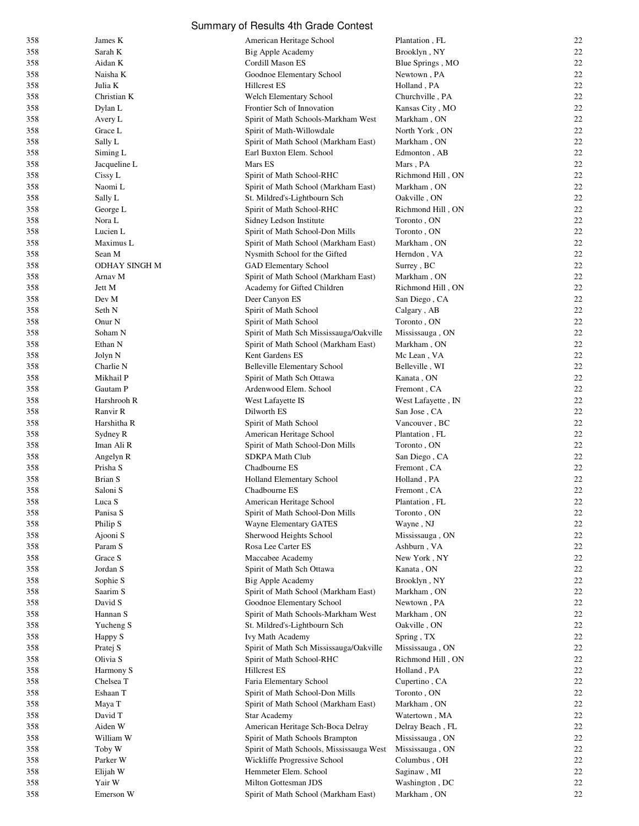| 358 | James K              | American Heritage School                 | Plantation, FL     | 22 |
|-----|----------------------|------------------------------------------|--------------------|----|
| 358 | Sarah K              | Big Apple Academy                        | Brooklyn, NY       | 22 |
| 358 | Aidan K              | Cordill Mason ES                         | Blue Springs, MO   | 22 |
| 358 | Naisha K             | Goodnoe Elementary School                | Newtown, PA        | 22 |
| 358 | Julia K              | <b>Hillcrest ES</b>                      | Holland, PA        | 22 |
| 358 | Christian K          | Welch Elementary School                  |                    | 22 |
|     |                      |                                          | Churchville, PA    |    |
| 358 | Dylan L              | Frontier Sch of Innovation               | Kansas City, MO    | 22 |
| 358 | Avery L              | Spirit of Math Schools-Markham West      | Markham, ON        | 22 |
| 358 | Grace L              | Spirit of Math-Willowdale                | North York, ON     | 22 |
| 358 | Sally L              | Spirit of Math School (Markham East)     | Markham, ON        | 22 |
| 358 | Siming L             | Earl Buxton Elem. School                 | Edmonton, AB       | 22 |
|     |                      |                                          |                    |    |
| 358 | Jacqueline L         | Mars ES                                  | Mars, PA           | 22 |
| 358 | Cissy L              | Spirit of Math School-RHC                | Richmond Hill, ON  | 22 |
| 358 | Naomi L              | Spirit of Math School (Markham East)     | Markham, ON        | 22 |
| 358 | Sally L              | St. Mildred's-Lightbourn Sch             | Oakville, ON       | 22 |
| 358 | George L             | Spirit of Math School-RHC                | Richmond Hill, ON  | 22 |
| 358 | Nora L               | Sidney Ledson Institute                  | Toronto, ON        | 22 |
|     |                      |                                          |                    |    |
| 358 | Lucien L             | Spirit of Math School-Don Mills          | Toronto, ON        | 22 |
| 358 | Maximus L            | Spirit of Math School (Markham East)     | Markham, ON        | 22 |
| 358 | Sean M               | Nysmith School for the Gifted            | Herndon, VA        | 22 |
| 358 | <b>ODHAY SINGH M</b> | GAD Elementary School                    | Surrey, BC         | 22 |
| 358 | Arnav M              | Spirit of Math School (Markham East)     | Markham, ON        | 22 |
| 358 | Jett M               | Academy for Gifted Children              | Richmond Hill, ON  | 22 |
|     |                      |                                          |                    | 22 |
| 358 | Dev M                | Deer Canyon ES                           | San Diego, CA      |    |
| 358 | Seth N               | Spirit of Math School                    | Calgary, AB        | 22 |
| 358 | Onur N               | Spirit of Math School                    | Toronto, ON        | 22 |
| 358 | Soham N              | Spirit of Math Sch Mississauga/Oakville  | Mississauga, ON    | 22 |
| 358 | Ethan N              | Spirit of Math School (Markham East)     | Markham, ON        | 22 |
| 358 | Jolyn N              | Kent Gardens ES                          | Mc Lean, VA        | 22 |
|     |                      |                                          |                    |    |
| 358 | Charlie N            | <b>Belleville Elementary School</b>      | Belleville, WI     | 22 |
| 358 | Mikhail P            | Spirit of Math Sch Ottawa                | Kanata, ON         | 22 |
| 358 | Gautam P             | Ardenwood Elem. School                   | Fremont, CA        | 22 |
| 358 | Harshrooh R          | West Lafayette IS                        | West Lafayette, IN | 22 |
| 358 | Ranvir R             | Dilworth ES                              | San Jose, CA       | 22 |
| 358 | Harshitha R          | Spirit of Math School                    | Vancouver, BC      | 22 |
| 358 |                      | American Heritage School                 | Plantation, FL     | 22 |
|     | Sydney R             |                                          |                    |    |
| 358 | Iman Ali R           | Spirit of Math School-Don Mills          | Toronto, ON        | 22 |
| 358 | Angelyn R            | <b>SDKPA Math Club</b>                   | San Diego, CA      | 22 |
| 358 | Prisha S             | Chadbourne ES                            | Fremont, CA        | 22 |
| 358 | Brian S              | Holland Elementary School                | Holland, PA        | 22 |
| 358 | Saloni S             | Chadbourne ES                            | Fremont, CA        | 22 |
| 358 | Luca S               | American Heritage School                 | Plantation, FL     | 22 |
|     |                      |                                          | Toronto, ON        | 22 |
| 358 | Panisa S             | Spirit of Math School-Don Mills          |                    |    |
| 358 | Philip S             | Wayne Elementary GATES                   | Wayne, NJ          | 22 |
| 358 | Ajooni S             | Sherwood Heights School                  | Mississauga, ON    | 22 |
| 358 | Param S              | Rosa Lee Carter ES                       | Ashburn, VA        | 22 |
| 358 | Grace S              | Maccabee Academy                         | New York, NY       | 22 |
| 358 | Jordan S             | Spirit of Math Sch Ottawa                | Kanata, ON         | 22 |
| 358 |                      | Big Apple Academy                        | Brooklyn, NY       | 22 |
|     | Sophie S             |                                          |                    |    |
| 358 | Saarim S             | Spirit of Math School (Markham East)     | Markham, ON        | 22 |
| 358 | David S              | Goodnoe Elementary School                | Newtown, PA        | 22 |
| 358 | Hannan S             | Spirit of Math Schools-Markham West      | Markham, ON        | 22 |
| 358 | Yucheng S            | St. Mildred's-Lightbourn Sch             | Oakville, ON       | 22 |
| 358 | Happy S              | Ivy Math Academy                         | Spring, TX         | 22 |
| 358 | Pratej S             | Spirit of Math Sch Mississauga/Oakville  | Mississauga, ON    | 22 |
|     |                      |                                          |                    |    |
| 358 | Olivia S             | Spirit of Math School-RHC                | Richmond Hill, ON  | 22 |
| 358 | Harmony S            | <b>Hillcrest ES</b>                      | Holland, PA        | 22 |
| 358 | Chelsea T            | Faria Elementary School                  | Cupertino, CA      | 22 |
| 358 | Eshaan T             | Spirit of Math School-Don Mills          | Toronto, ON        | 22 |
| 358 | Maya T               | Spirit of Math School (Markham East)     | Markham, ON        | 22 |
| 358 | David T              | Star Academy                             | Watertown, MA      | 22 |
|     |                      |                                          |                    |    |
| 358 | Aiden W              | American Heritage Sch-Boca Delray        | Delray Beach, FL   | 22 |
| 358 | William W            | Spirit of Math Schools Brampton          | Mississauga, ON    | 22 |
| 358 | Toby W               | Spirit of Math Schools, Mississauga West | Mississauga, ON    | 22 |
| 358 | Parker W             | Wickliffe Progressive School             | Columbus, OH       | 22 |
| 358 | Elijah W             | Hemmeter Elem. School                    | Saginaw, MI        | 22 |
| 358 | Yair W               | Milton Gottesman JDS                     | Washington, DC     | 22 |
| 358 |                      |                                          |                    | 22 |
|     | Emerson W            | Spirit of Math School (Markham East)     | Markham, ON        |    |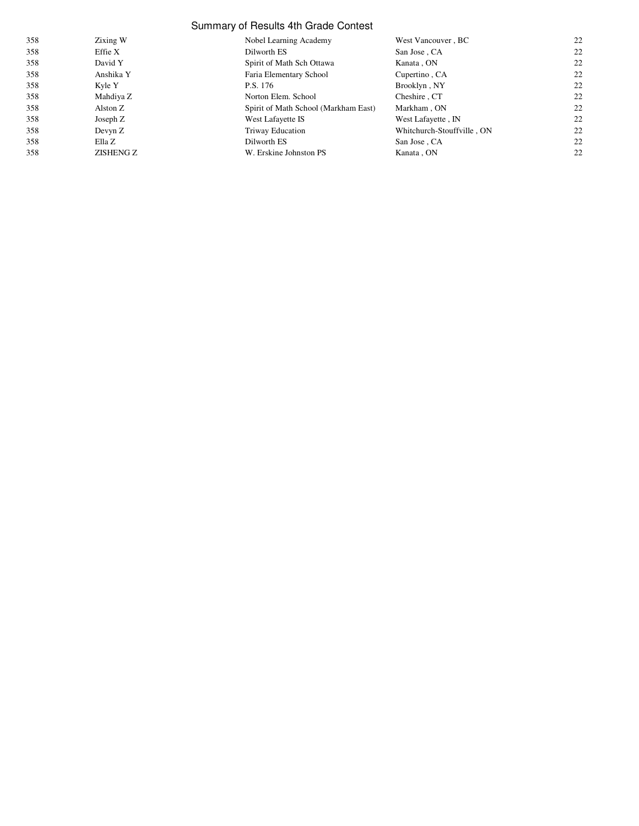| 358 | Zixing W  | Nobel Learning Academy               | West Vancouver, BC         | 22 |
|-----|-----------|--------------------------------------|----------------------------|----|
| 358 | Effie X   | Dilworth ES                          | San Jose, CA               | 22 |
| 358 | David Y   | Spirit of Math Sch Ottawa            | Kanata, ON                 | 22 |
| 358 | Anshika Y | Faria Elementary School              | Cupertino, CA              | 22 |
| 358 | Kyle Y    | P.S. 176                             | Brooklyn, NY               | 22 |
| 358 | Mahdiya Z | Norton Elem. School                  | Cheshire, CT               | 22 |
| 358 | Alston Z  | Spirit of Math School (Markham East) | Markham, ON                | 22 |
| 358 | Joseph Z  | West Lafayette IS                    | West Lafayette, IN         | 22 |
| 358 | Devyn Z   | Triway Education                     | Whitchurch-Stouffville, ON | 22 |
| 358 | Ella Z    | Dilworth ES                          | San Jose, CA               | 22 |
| 358 | ZISHENG Z | W. Erskine Johnston PS               | Kanata, ON                 | 22 |
|     |           |                                      |                            |    |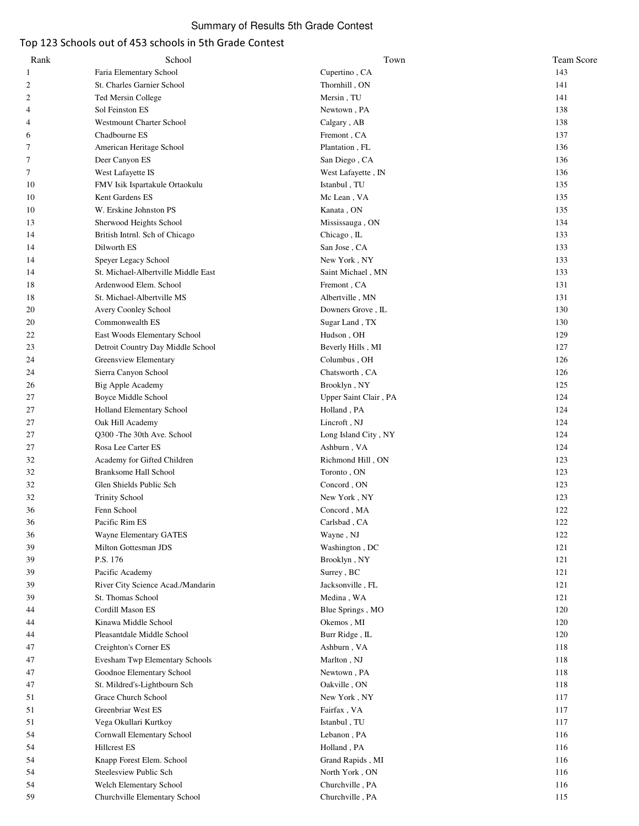# Top 123 Schools out of 453 schools in 5th Grade Contest

| Rank | School                              | Town                  | <b>Team Score</b> |
|------|-------------------------------------|-----------------------|-------------------|
| 1    | Faria Elementary School             | Cupertino, CA         | 143               |
| 2    | St. Charles Garnier School          | Thornhill, ON         | 141               |
| 2    | Ted Mersin College                  | Mersin, TU            | 141               |
| 4    | Sol Feinston ES                     | Newtown, PA           | 138               |
| 4    | <b>Westmount Charter School</b>     | Calgary, AB           | 138               |
| 6    | Chadbourne ES                       | Fremont, CA           | 137               |
| 7    | American Heritage School            | Plantation, FL        | 136               |
| 7    | Deer Canyon ES                      | San Diego, CA         | 136               |
| 7    | West Lafayette IS                   | West Lafayette, IN    | 136               |
| 10   | FMV Isik Ispartakule Ortaokulu      | Istanbul, TU          | 135               |
|      | Kent Gardens ES                     |                       | 135               |
| 10   |                                     | Mc Lean, VA           |                   |
| 10   | W. Erskine Johnston PS              | Kanata, ON            | 135               |
| 13   | Sherwood Heights School             | Mississauga, ON       | 134               |
| 14   | British Intrnl. Sch of Chicago      | Chicago, IL           | 133               |
| 14   | Dilworth ES                         | San Jose , CA         | 133               |
| 14   | Speyer Legacy School                | New York, NY          | 133               |
| 14   | St. Michael-Albertville Middle East | Saint Michael, MN     | 133               |
| 18   | Ardenwood Elem. School              | Fremont, CA           | 131               |
| 18   | St. Michael-Albertville MS          | Albertville, MN       | 131               |
| 20   | Avery Coonley School                | Downers Grove, IL     | 130               |
| 20   | Commonwealth ES                     | Sugar Land, TX        | 130               |
| 22   | East Woods Elementary School        | Hudson, OH            | 129               |
| 23   | Detroit Country Day Middle School   | Beverly Hills, MI     | 127               |
| 24   | Greensview Elementary               | Columbus, OH          | 126               |
| 24   | Sierra Canyon School                | Chatsworth, CA        | 126               |
| 26   | Big Apple Academy                   | Brooklyn, NY          | 125               |
| 27   | Boyce Middle School                 | Upper Saint Clair, PA | 124               |
|      |                                     |                       | 124               |
| 27   | Holland Elementary School           | Holland, PA           |                   |
| 27   | Oak Hill Academy                    | Lincroft, NJ          | 124               |
| 27   | Q300 - The 30th Ave. School         | Long Island City, NY  | 124               |
| 27   | Rosa Lee Carter ES                  | Ashburn, VA           | 124               |
| 32   | Academy for Gifted Children         | Richmond Hill, ON     | 123               |
| 32   | <b>Branksome Hall School</b>        | Toronto, ON           | 123               |
| 32   | Glen Shields Public Sch             | Concord, ON           | 123               |
| 32   | <b>Trinity School</b>               | New York, NY          | 123               |
| 36   | Fenn School                         | Concord, MA           | 122               |
| 36   | Pacific Rim ES                      | Carlsbad, CA          | 122               |
| 36   | <b>Wayne Elementary GATES</b>       | Wayne, NJ             | 122               |
| 39   | Milton Gottesman JDS                | Washington, DC        | 121               |
| 39   | P.S. 176                            | Brooklyn, NY          | 121               |
| 39   | Pacific Academy                     | Surrey, BC            | 121               |
| 39   | River City Science Acad./Mandarin   | Jacksonville, FL      | 121               |
| 39   | St. Thomas School                   | Medina, WA            | 121               |
| 44   | Cordill Mason ES                    | Blue Springs, MO      | 120               |
| 44   | Kinawa Middle School                | Okemos, MI            | 120               |
| 44   | Pleasantdale Middle School          | Burr Ridge, IL        | 120               |
|      |                                     |                       |                   |
| 47   | Creighton's Corner ES               | Ashburn, VA           | 118               |
| 47   | Evesham Twp Elementary Schools      | Marlton, NJ           | 118               |
| 47   | Goodnoe Elementary School           | Newtown, PA           | 118               |
| 47   | St. Mildred's-Lightbourn Sch        | Oakville, ON          | 118               |
| 51   | Grace Church School                 | New York, NY          | 117               |
| 51   | Greenbriar West ES                  | Fairfax, VA           | 117               |
| 51   | Vega Okullari Kurtkoy               | Istanbul, TU          | 117               |
| 54   | Cornwall Elementary School          | Lebanon, PA           | 116               |
| 54   | <b>Hillcrest ES</b>                 | Holland, PA           | 116               |
| 54   | Knapp Forest Elem. School           | Grand Rapids, MI      | 116               |
| 54   | Steelesview Public Sch              | North York, ON        | 116               |
| 54   | Welch Elementary School             | Churchville, PA       | 116               |
| 59   | Churchville Elementary School       | Churchville, PA       | 115               |
|      |                                     |                       |                   |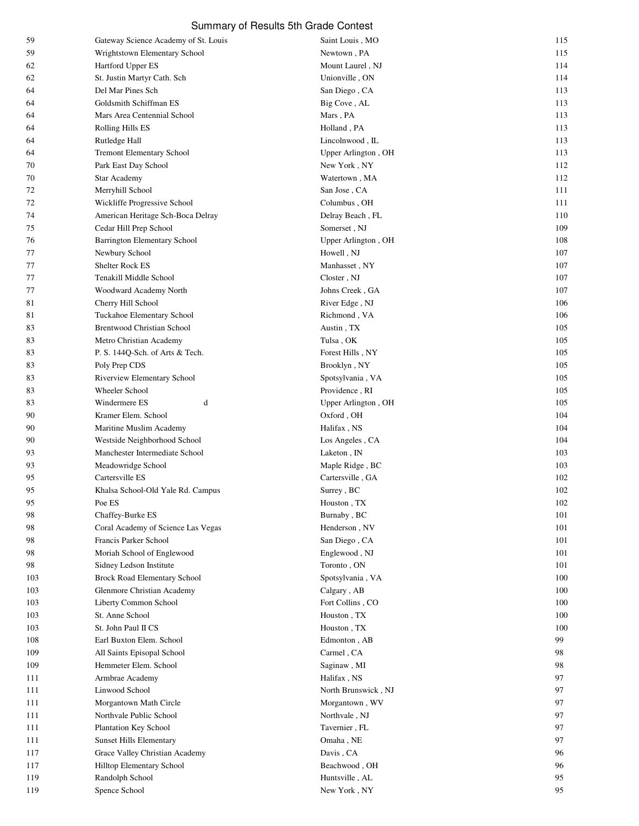| 59  | Gateway Science Academy of St. Louis | Saint Louis, MO     | 115 |
|-----|--------------------------------------|---------------------|-----|
| 59  | Wrightstown Elementary School        | Newtown, PA         | 115 |
| 62  | Hartford Upper ES                    | Mount Laurel, NJ    | 114 |
| 62  | St. Justin Martyr Cath. Sch          | Unionville, ON      | 114 |
| 64  | Del Mar Pines Sch                    | San Diego, CA       | 113 |
| 64  | Goldsmith Schiffman ES               | Big Cove, AL        | 113 |
| 64  | Mars Area Centennial School          | Mars, PA            | 113 |
| 64  | Rolling Hills ES                     | Holland, PA         | 113 |
| 64  | Rutledge Hall                        | Lincolnwood, IL     | 113 |
| 64  | <b>Tremont Elementary School</b>     | Upper Arlington, OH | 113 |
| 70  | Park East Day School                 | New York, NY        | 112 |
| 70  | <b>Star Academy</b>                  | Watertown, MA       | 112 |
| 72  | Merryhill School                     | San Jose, CA        | 111 |
| 72  | Wickliffe Progressive School         | Columbus, OH        | 111 |
| 74  | American Heritage Sch-Boca Delray    | Delray Beach, FL    | 110 |
| 75  | Cedar Hill Prep School               | Somerset, NJ        | 109 |
| 76  | <b>Barrington Elementary School</b>  | Upper Arlington, OH | 108 |
| 77  | Newbury School                       | Howell, NJ          | 107 |
|     | <b>Shelter Rock ES</b>               | Manhasset, NY       | 107 |
| 77  |                                      |                     |     |
| 77  | Tenakill Middle School               | Closter, NJ         | 107 |
| 77  | Woodward Academy North               | Johns Creek, GA     | 107 |
| 81  | Cherry Hill School                   | River Edge, NJ      | 106 |
| 81  | Tuckahoe Elementary School           | Richmond, VA        | 106 |
| 83  | <b>Brentwood Christian School</b>    | Austin, TX          | 105 |
| 83  | Metro Christian Academy              | Tulsa, OK           | 105 |
| 83  | P. S. 144Q-Sch. of Arts & Tech.      | Forest Hills, NY    | 105 |
| 83  | Poly Prep CDS                        | Brooklyn, NY        | 105 |
| 83  | Riverview Elementary School          | Spotsylvania, VA    | 105 |
| 83  | Wheeler School                       | Providence, RI      | 105 |
| 83  | Windermere ES<br>d                   | Upper Arlington, OH | 105 |
| 90  | Kramer Elem. School                  | Oxford, OH          | 104 |
| 90  | Maritine Muslim Academy              | Halifax, NS         | 104 |
| 90  | Westside Neighborhood School         | Los Angeles, CA     | 104 |
| 93  | Manchester Intermediate School       | Laketon, IN         | 103 |
| 93  | Meadowridge School                   | Maple Ridge, BC     | 103 |
| 95  | Cartersville ES                      | Cartersville, GA    | 102 |
| 95  | Khalsa School-Old Yale Rd. Campus    | Surrey, BC          | 102 |
| 95  | Poe ES                               | Houston, TX         | 102 |
| 98  | Chaffey-Burke ES                     | Burnaby, BC         | 101 |
| 98  | Coral Academy of Science Las Vegas   | Henderson, NV       | 101 |
| 98  | Francis Parker School                | San Diego, CA       | 101 |
| 98  | Moriah School of Englewood           | Englewood, NJ       | 101 |
| 98  | Sidney Ledson Institute              | Toronto, ON         | 101 |
| 103 | Brock Road Elementary School         | Spotsylvania, VA    | 100 |
| 103 | Glenmore Christian Academy           | Calgary, AB         | 100 |
| 103 | Liberty Common School                | Fort Collins, CO    | 100 |
| 103 | St. Anne School                      | Houston, TX         | 100 |
|     | St. John Paul II CS                  |                     | 100 |
| 103 |                                      | Houston, TX         |     |
| 108 | Earl Buxton Elem. School             | Edmonton, AB        | 99  |
| 109 | All Saints Episopal School           | Carmel, CA          | 98  |
| 109 | Hemmeter Elem. School                | Saginaw, MI         | 98  |
| 111 | Armbrae Academy                      | Halifax, NS         | 97  |
| 111 | Linwood School                       | North Brunswick, NJ | 97  |
| 111 | Morgantown Math Circle               | Morgantown, WV      | 97  |
| 111 | Northvale Public School              | Northvale, NJ       | 97  |
| 111 | Plantation Key School                | Tavernier, FL       | 97  |
| 111 | <b>Sunset Hills Elementary</b>       | Omaha, NE           | 97  |
| 117 | Grace Valley Christian Academy       | Davis, CA           | 96  |
| 117 | Hilltop Elementary School            | Beachwood, OH       | 96  |
| 119 | Randolph School                      | Huntsville, AL      | 95  |
| 119 | Spence School                        | New York, NY        | 95  |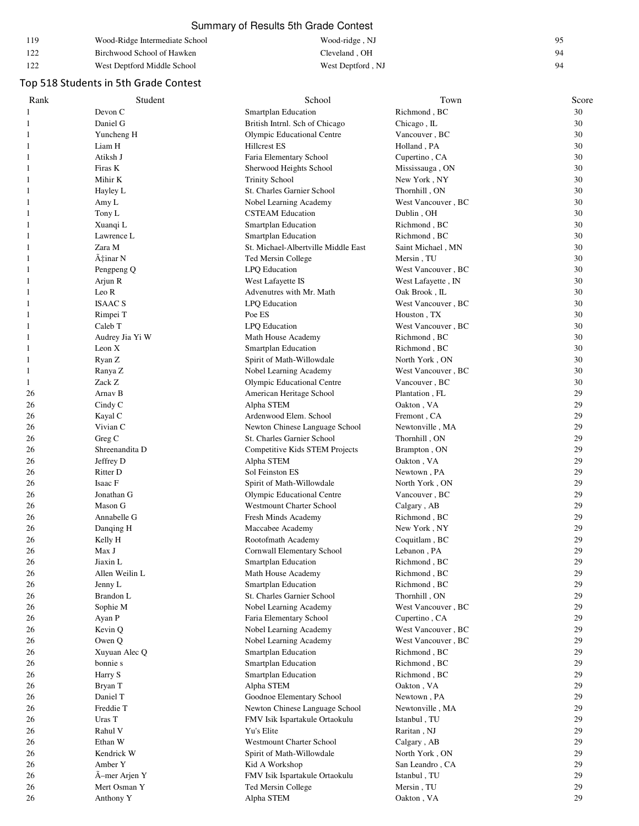| 119        | Wood-Ridge Intermediate School | Wood-ridge, NJ    | 0٢ |
|------------|--------------------------------|-------------------|----|
| 122        | Birchwood School of Hawken     | Cleveland . OH    | 94 |
| 122<br>144 | West Deptford Middle School    | West Deptford, NJ | 94 |

# Top 518 Students in 5th Grade Contest

| Rank | Student         | School                              | Town               | Score |
|------|-----------------|-------------------------------------|--------------------|-------|
| 1    | Devon C         | Smartplan Education                 | Richmond, BC       | 30    |
| 1    | Daniel G        | British Intrnl. Sch of Chicago      | Chicago, IL        | 30    |
| 1    | Yuncheng H      | Olympic Educational Centre          | Vancouver, BC      | 30    |
| 1    | Liam H          | <b>Hillcrest ES</b>                 | Holland, PA        | 30    |
| 1    | Atiksh J        | Faria Elementary School             | Cupertino, CA      | 30    |
| 1    | Firas K         | Sherwood Heights School             | Mississauga, ON    | 30    |
| 1    | Mihir K         | <b>Trinity School</b>               | New York, NY       | 30    |
| 1    | Hayley L        | St. Charles Garnier School          | Thornhill, ON      | 30    |
| 1    | Amy L           | Nobel Learning Academy              | West Vancouver, BC | 30    |
| 1    | Tony L          | <b>CSTEAM Education</b>             | Dublin, OH         | 30    |
| 1    | Xuanqi L        | Smartplan Education                 | Richmond, BC       | 30    |
| 1    | Lawrence L      | Smartplan Education                 | Richmond, BC       | 30    |
| 1    | Zara M          | St. Michael-Albertville Middle East | Saint Michael, MN  | 30    |
| 1    | A‡inar N        | Ted Mersin College                  | Mersin, TU         | 30    |
| 1    | Pengpeng Q      | LPQ Education                       | West Vancouver, BC | 30    |
| 1    | Arjun R         | West Lafayette IS                   | West Lafayette, IN | 30    |
| 1    | Leo R           | Advenutres with Mr. Math            | Oak Brook, IL      | 30    |
| 1    | <b>ISAAC S</b>  | LPQ Education                       | West Vancouver, BC | 30    |
| 1    | Rimpei T        | Poe ES                              | Houston, TX        | 30    |
| 1    | Caleb T         | LPQ Education                       | West Vancouver, BC | 30    |
| 1    | Audrey Jia Yi W | Math House Academy                  | Richmond, BC       | 30    |
| 1    | Leon X          | Smartplan Education                 | Richmond, BC       | 30    |
| 1    | Ryan Z          | Spirit of Math-Willowdale           | North York, ON     | 30    |
| 1    | Ranya Z         | Nobel Learning Academy              | West Vancouver, BC | 30    |
| 1    | Zack Z          | <b>Olympic Educational Centre</b>   | Vancouver, BC      | 30    |
| 26   | Arnav B         | American Heritage School            | Plantation, FL     | 29    |
| 26   | Cindy C         | Alpha STEM                          | Oakton, VA         | 29    |
| 26   | Kayal C         | Ardenwood Elem. School              | Fremont, CA        | 29    |
| 26   | Vivian C        | Newton Chinese Language School      | Newtonville, MA    | 29    |
| 26   | Greg C          | St. Charles Garnier School          | Thornhill, ON      | 29    |
| 26   | Shreenandita D  | Competitive Kids STEM Projects      | Brampton, ON       | 29    |
| 26   | Jeffrey D       | Alpha STEM                          | Oakton, VA         | 29    |
| 26   | Ritter D        | Sol Feinston ES                     | Newtown, PA        | 29    |
| 26   | Isaac F         | Spirit of Math-Willowdale           | North York, ON     | 29    |
| 26   | Jonathan G      | Olympic Educational Centre          | Vancouver, BC      | 29    |
| 26   | Mason G         | <b>Westmount Charter School</b>     | Calgary, AB        | 29    |
| 26   | Annabelle G     | Fresh Minds Academy                 | Richmond, BC       | 29    |
| 26   | Danqing H       | Maccabee Academy                    | New York, NY       | 29    |
| 26   | Kelly H         | Rootofmath Academy                  | Coquitlam, BC      | 29    |
| 26   | Max J           | Cornwall Elementary School          | Lebanon, PA        | 29    |
| 26   | Jiaxin L        | <b>Smartplan Education</b>          | Richmond, BC       | 29    |
| 26   | Allen Weilin L  | Math House Academy                  | Richmond, BC       | 29    |
| 26   | Jenny L         | Smartplan Education                 | Richmond, BC       | 29    |
| 26   | Brandon L       | St. Charles Garnier School          | Thornhill, ON      | 29    |
| 26   | Sophie M        | Nobel Learning Academy              | West Vancouver, BC | 29    |
| 26   | Ayan P          | Faria Elementary School             | Cupertino, CA      | 29    |
| 26   | Kevin Q         | Nobel Learning Academy              | West Vancouver, BC | 29    |
| 26   | Owen Q          | Nobel Learning Academy              | West Vancouver, BC | 29    |
| 26   | Xuyuan Alec Q   | Smartplan Education                 | Richmond, BC       | 29    |
| 26   | bonnie s        | Smartplan Education                 | Richmond, BC       | 29    |
| 26   | Harry S         | Smartplan Education                 | Richmond, BC       | 29    |
| 26   | Bryan T         | Alpha STEM                          | Oakton, VA         | 29    |
| 26   | Daniel T        | Goodnoe Elementary School           | Newtown, PA        | 29    |
| 26   | Freddie T       | Newton Chinese Language School      | Newtonville, MA    | 29    |
| 26   | Uras T          | FMV Isik Ispartakule Ortaokulu      | Istanbul, TU       | 29    |
| 26   | Rahul V         | Yu's Elite                          | Raritan, NJ        | 29    |
| 26   | Ethan W         | <b>Westmount Charter School</b>     | Calgary, AB        | 29    |
| 26   | Kendrick W      | Spirit of Math-Willowdale           | North York, ON     | 29    |
| 26   | Amber Y         | Kid A Workshop                      | San Leandro, CA    | 29    |
| 26   | A-mer Arjen Y   | FMV Isik Ispartakule Ortaokulu      | Istanbul, TU       | 29    |
| 26   | Mert Osman Y    | Ted Mersin College                  | Mersin, TU         | 29    |
| 26   | Anthony Y       | Alpha STEM                          | Oakton, VA         | 29    |
|      |                 |                                     |                    |       |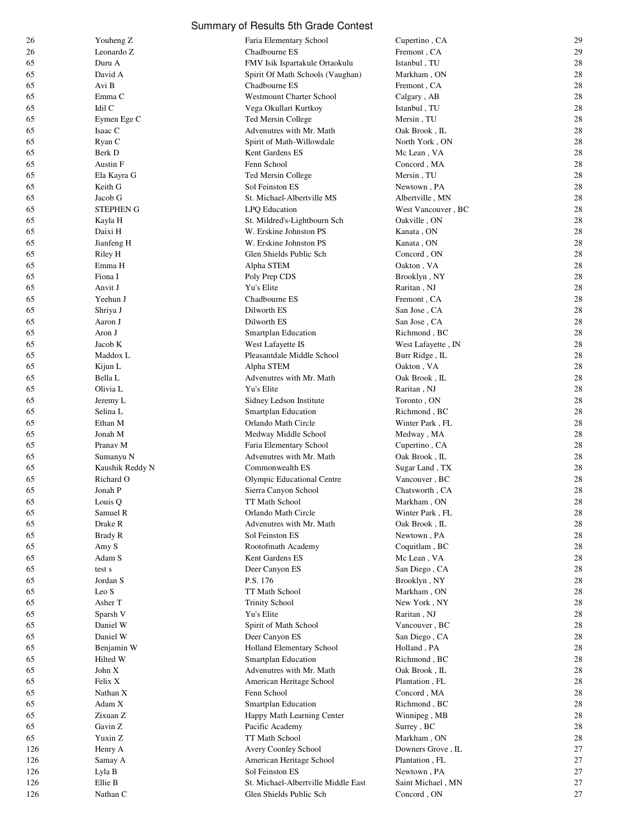| 26  | Youheng Z        | Faria Elementary School             | Cupertino, CA      | 29 |
|-----|------------------|-------------------------------------|--------------------|----|
| 26  | Leonardo Z       | Chadbourne ES                       | Fremont, CA        | 29 |
| 65  | Duru A           | FMV Isik Ispartakule Ortaokulu      | Istanbul, TU       | 28 |
| 65  | David A          | Spirit Of Math Schools (Vaughan)    | Markham, ON        | 28 |
| 65  | Avi B            | Chadbourne ES                       | Fremont, CA        | 28 |
| 65  | Emma C           | <b>Westmount Charter School</b>     | Calgary, AB        | 28 |
| 65  | Idil C           | Vega Okullari Kurtkoy               | Istanbul, TU       | 28 |
| 65  | Eymen Ege C      | Ted Mersin College                  | Mersin, TU         | 28 |
| 65  | Isaac C          | Advenutres with Mr. Math            | Oak Brook, IL      | 28 |
| 65  | Ryan C           | Spirit of Math-Willowdale           | North York, ON     | 28 |
| 65  | Berk D           | Kent Gardens ES                     | Mc Lean, VA        | 28 |
|     | Austin F         | Fenn School                         |                    | 28 |
| 65  |                  |                                     | Concord, MA        |    |
| 65  | Ela Kayra G      | Ted Mersin College                  | Mersin, TU         | 28 |
| 65  | Keith G          | Sol Feinston ES                     | Newtown, PA        | 28 |
| 65  | Jacob G          | St. Michael-Albertville MS          | Albertville, MN    | 28 |
| 65  | <b>STEPHEN G</b> | LPQ Education                       | West Vancouver, BC | 28 |
| 65  | Kayla H          | St. Mildred's-Lightbourn Sch        | Oakville, ON       | 28 |
| 65  | Daixi H          | W. Erskine Johnston PS              | Kanata, ON         | 28 |
| 65  | Jianfeng H       | W. Erskine Johnston PS              | Kanata, ON         | 28 |
| 65  | Riley H          | Glen Shields Public Sch             | Concord, ON        | 28 |
| 65  | Emma H           | Alpha STEM                          | Oakton, VA         | 28 |
| 65  | Fiona I          | Poly Prep CDS                       | Brooklyn, NY       | 28 |
| 65  | Anvit J          | Yu's Elite                          | Raritan, NJ        | 28 |
| 65  | Yeehun J         | Chadbourne ES                       | Fremont, CA        | 28 |
| 65  | Shriya J         | Dilworth ES                         | San Jose, CA       | 28 |
| 65  | Aaron J          | Dilworth ES                         | San Jose, CA       | 28 |
| 65  | Aron J           | Smartplan Education                 | Richmond, BC       | 28 |
| 65  | Jacob K          | West Lafayette IS                   | West Lafayette, IN | 28 |
| 65  | Maddox L         | Pleasantdale Middle School          | Burr Ridge, IL     | 28 |
| 65  | Kijun L          | Alpha STEM                          | Oakton, VA         | 28 |
| 65  | Bella L          | Advenutres with Mr. Math            | Oak Brook, IL      | 28 |
| 65  | Olivia L         | Yu's Elite                          | Raritan, NJ        | 28 |
| 65  | Jeremy L         | Sidney Ledson Institute             | Toronto, ON        | 28 |
| 65  | Selina L         | Smartplan Education                 | Richmond, BC       | 28 |
|     |                  |                                     |                    | 28 |
| 65  | Ethan M          | Orlando Math Circle                 | Winter Park, FL    |    |
| 65  | Jonah M          | Medway Middle School                | Medway, MA         | 28 |
| 65  | Pranav M         | Faria Elementary School             | Cupertino, CA      | 28 |
| 65  | Sumanyu N        | Advenutres with Mr. Math            | Oak Brook, IL      | 28 |
| 65  | Kaushik Reddy N  | Commonwealth ES                     | Sugar Land, TX     | 28 |
| 65  | Richard O        | Olympic Educational Centre          | Vancouver, BC      | 28 |
| 65  | Jonah P          | Sierra Canyon School                | Chatsworth, CA     | 28 |
| 65  | Louis Q          | TT Math School                      | Markham, ON        | 28 |
| 65  | Samuel R         | Orlando Math Circle                 | Winter Park, FL    | 28 |
| 65  | Drake R          | Advenutres with Mr. Math            | Oak Brook, IL      | 28 |
| 65  | Brady R          | Sol Feinston ES                     | Newtown, PA        | 28 |
| 65  | Amy S            | Rootofmath Academy                  | Coquitlam, BC      | 28 |
| 65  | Adam S           | Kent Gardens ES                     | Mc Lean, VA        | 28 |
| 65  | test s           | Deer Canyon ES                      | San Diego, CA      | 28 |
| 65  | Jordan S         | P.S. 176                            | Brooklyn, NY       | 28 |
| 65  | Leo S            | TT Math School                      | Markham, ON        | 28 |
| 65  | Asher T          | <b>Trinity School</b>               | New York, NY       | 28 |
| 65  | Sparsh V         | Yu's Elite                          | Raritan, NJ        | 28 |
| 65  | Daniel W         | Spirit of Math School               | Vancouver, BC      | 28 |
| 65  | Daniel W         | Deer Canyon ES                      | San Diego, CA      | 28 |
| 65  | Benjamin W       | Holland Elementary School           | Holland, PA        | 28 |
| 65  | Hilted W         | Smartplan Education                 | Richmond, BC       | 28 |
| 65  | John X           | Advenutres with Mr. Math            | Oak Brook, IL      | 28 |
| 65  | Felix X          | American Heritage School            | Plantation, FL     | 28 |
| 65  | Nathan X         | Fenn School                         | Concord, MA        | 28 |
|     |                  |                                     |                    |    |
| 65  | Adam X           | Smartplan Education                 | Richmond, BC       | 28 |
| 65  | Zixuan Z         | Happy Math Learning Center          | Winnipeg, MB       | 28 |
| 65  | Gavin Z          | Pacific Academy                     | Surrey, BC         | 28 |
| 65  | Yuxin Z          | TT Math School                      | Markham, ON        | 28 |
| 126 | Henry A          | Avery Coonley School                | Downers Grove, IL  | 27 |
| 126 | Samay A          | American Heritage School            | Plantation, FL     | 27 |
| 126 | Lyla B           | Sol Feinston ES                     | Newtown, PA        | 27 |
| 126 | Ellie B          | St. Michael-Albertville Middle East | Saint Michael, MN  | 27 |
| 126 | Nathan C         | Glen Shields Public Sch             | Concord, ON        | 27 |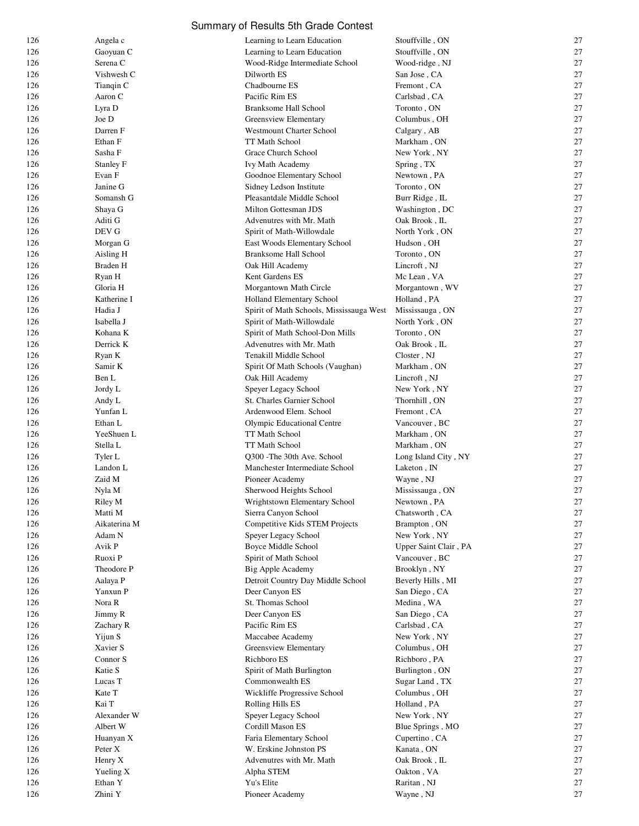| 126 | Angela c     | Learning to Learn Education                        | Stouffville, ON       | 27       |
|-----|--------------|----------------------------------------------------|-----------------------|----------|
| 126 | Gaoyuan C    | Learning to Learn Education                        | Stouffville, ON       | 27       |
| 126 | Serena C     | Wood-Ridge Intermediate School                     | Wood-ridge, NJ        | 27       |
| 126 | Vishwesh C   | Dilworth ES                                        | San Jose, CA          | 27       |
| 126 | Tianqin C    | Chadbourne ES                                      | Fremont, CA           | 27       |
| 126 | Aaron C      | Pacific Rim ES                                     | Carlsbad, CA          | 27       |
| 126 | Lyra D       | Branksome Hall School                              | Toronto, ON           | 27       |
| 126 | Joe D        | Greensview Elementary                              | Columbus, OH          | 27       |
| 126 | Darren F     | <b>Westmount Charter School</b>                    | Calgary, AB           | 27       |
| 126 | Ethan F      | TT Math School                                     | Markham, ON           | 27       |
| 126 | Sasha F      | Grace Church School                                | New York, NY          | 27       |
| 126 | Stanley F    | Ivy Math Academy                                   | Spring, TX            | 27       |
| 126 | Evan F       | Goodnoe Elementary School                          | Newtown, PA           | 27       |
| 126 | Janine G     | Sidney Ledson Institute                            | Toronto, ON           | 27       |
| 126 | Somansh G    | Pleasantdale Middle School                         | Burr Ridge, IL        | 27       |
| 126 | Shaya G      | Milton Gottesman JDS                               | Washington, DC        | 27       |
| 126 | Aditi G      | Advenutres with Mr. Math                           | Oak Brook, IL         | 27       |
| 126 | DEV G        | Spirit of Math-Willowdale                          | North York, ON        | 27       |
| 126 | Morgan G     | East Woods Elementary School                       | Hudson, OH            | 27       |
| 126 | Aisling H    | Branksome Hall School                              | Toronto, ON           | 27       |
| 126 | Braden H     | Oak Hill Academy                                   | Lincroft, NJ          | 27       |
| 126 | Ryan H       | Kent Gardens ES                                    | Mc Lean, VA           | 27       |
| 126 | Gloria H     | Morgantown Math Circle                             | Morgantown, WV        | 27       |
| 126 | Katherine I  | <b>Holland Elementary School</b>                   | Holland, PA           | 27       |
| 126 | Hadia J      | Spirit of Math Schools, Mississauga West           | Mississauga, ON       | 27       |
| 126 | Isabella J   | Spirit of Math-Willowdale                          | North York, ON        | 27       |
| 126 | Kohana K     | Spirit of Math School-Don Mills                    | Toronto, ON           | 27       |
| 126 | Derrick K    | Advenutres with Mr. Math                           | Oak Brook, IL         | 27       |
| 126 | Ryan K       | Tenakill Middle School                             | Closter, NJ           | 27       |
| 126 | Samir K      | Spirit Of Math Schools (Vaughan)                   | Markham, ON           | 27       |
| 126 | Ben L        | Oak Hill Academy                                   | Lincroft, NJ          | 27       |
| 126 |              |                                                    |                       | 27       |
| 126 | Jordy L      | Speyer Legacy School<br>St. Charles Garnier School | New York, NY          | 27       |
|     | Andy L       |                                                    | Thornhill, ON         | 27       |
| 126 | Yunfan L     | Ardenwood Elem. School                             | Fremont, CA           |          |
| 126 | Ethan L      | Olympic Educational Centre                         | Vancouver, BC         | 27       |
| 126 | YeeShuen L   | TT Math School                                     | Markham, ON           | 27       |
| 126 | Stella L     | TT Math School                                     | Markham, ON           | 27       |
| 126 | Tyler L      | Q300 - The 30th Ave. School                        | Long Island City, NY  | 27       |
| 126 | Landon L     | Manchester Intermediate School                     | Laketon, IN           | 27       |
| 126 | Zaid M       | Pioneer Academy                                    | Wayne, NJ             | 27       |
| 126 | Nyla M       | Sherwood Heights School                            | Mississauga, ON       | 27       |
| 126 | Riley M      | Wrightstown Elementary School                      | Newtown, PA           | 27       |
| 126 | Matti M      | Sierra Canyon School                               | Chatsworth, CA        | 27       |
| 126 | Aikaterina M | Competitive Kids STEM Projects                     | Brampton, ON          | 27       |
| 126 | Adam N       | Speyer Legacy School                               | New York, NY          | 27       |
| 126 | Avik P       | Boyce Middle School                                | Upper Saint Clair, PA | 27       |
| 126 | Ruoxi P      | Spirit of Math School                              | Vancouver, BC         | 27       |
| 126 | Theodore P   | Big Apple Academy                                  | Brooklyn, NY          | 27       |
| 126 | Aalaya P     | Detroit Country Day Middle School                  | Beverly Hills, MI     | 27       |
| 126 | Yanxun P     | Deer Canyon ES                                     | San Diego, CA         | 27<br>27 |
| 126 | Nora R       | St. Thomas School                                  | Medina, WA            |          |
| 126 | Jimmy R      | Deer Canyon ES                                     | San Diego, CA         | 27       |
| 126 | Zachary R    | Pacific Rim ES                                     | Carlsbad, CA          | 27       |
| 126 | Yijun S      | Maccabee Academy                                   | New York, NY          | 27       |
| 126 | Xavier S     | Greensview Elementary<br>Richboro ES               | Columbus, OH          | 27<br>27 |
| 126 | Connor S     |                                                    | Richboro, PA          |          |
| 126 | Katie S      | Spirit of Math Burlington                          | Burlington, ON        | 27       |
| 126 | Lucas T      | Commonwealth ES                                    | Sugar Land, TX        | 27       |
| 126 | Kate T       | Wickliffe Progressive School                       | Columbus, OH          | 27       |
| 126 | Kai T        | Rolling Hills ES                                   | Holland, PA           | 27<br>27 |
| 126 | Alexander W  | Speyer Legacy School                               | New York, NY          |          |
| 126 | Albert W     | Cordill Mason ES                                   | Blue Springs, MO      | 27       |
| 126 | Huanyan X    | Faria Elementary School                            | Cupertino, CA         | 27       |
| 126 | Peter X      | W. Erskine Johnston PS                             | Kanata, ON            | 27<br>27 |
| 126 | Henry X      | Advenutres with Mr. Math                           | Oak Brook, IL         | 27       |
| 126 | Yueling X    | Alpha STEM<br>Yu's Elite                           | Oakton, VA            |          |
| 126 | Ethan Y      |                                                    | Raritan, NJ           | 27<br>27 |
| 126 | Zhini Y      | Pioneer Academy                                    | Wayne, NJ             |          |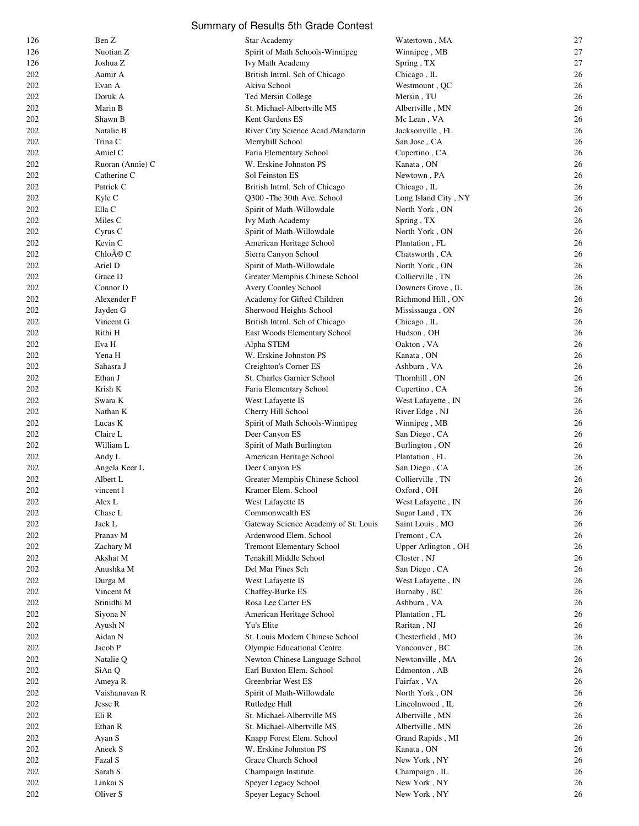|  |  | Summary of Results 5th Grade Contest |
|--|--|--------------------------------------|
|--|--|--------------------------------------|

| 126 | Ben Z            | Star Academy                         | Watertown, MA        | 27 |
|-----|------------------|--------------------------------------|----------------------|----|
| 126 | Nuotian Z        | Spirit of Math Schools-Winnipeg      | Winnipeg, MB         | 27 |
| 126 | Joshua Z         | Ivy Math Academy                     | Spring, TX           | 27 |
| 202 | Aamir A          | British Intrnl. Sch of Chicago       | Chicago, IL          | 26 |
| 202 | Evan A           | Akiva School                         | Westmount, QC        | 26 |
| 202 | Doruk A          | Ted Mersin College                   | Mersin, TU           | 26 |
| 202 | Marin B          | St. Michael-Albertville MS           | Albertville, MN      | 26 |
| 202 | Shawn B          | Kent Gardens ES                      | Mc Lean, VA          | 26 |
| 202 | Natalie B        | River City Science Acad./Mandarin    | Jacksonville, FL     | 26 |
| 202 | Trina C          | Merryhill School                     | San Jose, CA         | 26 |
| 202 | Amiel C          | Faria Elementary School              | Cupertino, CA        | 26 |
| 202 | Ruoran (Annie) C | W. Erskine Johnston PS               | Kanata, ON           | 26 |
| 202 | Catherine C      | Sol Feinston ES                      | Newtown, PA          | 26 |
| 202 | Patrick C        | British Intrnl. Sch of Chicago       | Chicago, IL          | 26 |
| 202 | Kyle C           | Q300 - The 30th Ave. School          | Long Island City, NY | 26 |
| 202 | Ella C           | Spirit of Math-Willowdale            | North York, ON       | 26 |
| 202 | Miles C          | Ivy Math Academy                     | Spring, TX           | 26 |
| 202 | Cyrus C          | Spirit of Math-Willowdale            | North York, ON       | 26 |
| 202 | Kevin C          | American Heritage School             | Plantation, FL       | 26 |
| 202 | Chloé C          | Sierra Canyon School                 | Chatsworth, CA       | 26 |
| 202 | Ariel D          | Spirit of Math-Willowdale            | North York, ON       | 26 |
| 202 | Grace D          | Greater Memphis Chinese School       | Collierville, TN     | 26 |
| 202 | Connor D         | Avery Coonley School                 | Downers Grove, IL    | 26 |
| 202 | Alexender F      | Academy for Gifted Children          | Richmond Hill, ON    | 26 |
| 202 | Jayden G         | Sherwood Heights School              | Mississauga, ON      | 26 |
| 202 | Vincent G        | British Intrnl. Sch of Chicago       | Chicago, IL          | 26 |
| 202 | Rithi H          | East Woods Elementary School         | Hudson, OH           | 26 |
| 202 | Eva H            | Alpha STEM                           | Oakton, VA           | 26 |
| 202 | Yena H           | W. Erskine Johnston PS               | Kanata, ON           | 26 |
| 202 | Sahasra J        | Creighton's Corner ES                | Ashburn, VA          | 26 |
| 202 | Ethan J          | St. Charles Garnier School           | Thornhill, ON        | 26 |
| 202 | Krish K          | Faria Elementary School              | Cupertino, CA        | 26 |
| 202 | Swara K          | West Lafayette IS                    | West Lafayette, IN   | 26 |
| 202 | Nathan K         | Cherry Hill School                   | River Edge, NJ       | 26 |
| 202 | Lucas K          | Spirit of Math Schools-Winnipeg      | Winnipeg, MB         | 26 |
| 202 | Claire L         | Deer Canyon ES                       | San Diego, CA        | 26 |
| 202 | William L        | Spirit of Math Burlington            | Burlington, ON       | 26 |
| 202 | Andy L           | American Heritage School             | Plantation, FL       | 26 |
| 202 | Angela Keer L    | Deer Canyon ES                       | San Diego, CA        | 26 |
| 202 | Albert L         | Greater Memphis Chinese School       | Collierville, TN     | 26 |
| 202 | vincent l        | Kramer Elem. School                  | Oxford, OH           | 26 |
| 202 | Alex L           | West Lafayette IS                    | West Lafayette, IN   | 26 |
| 202 | Chase L          | Commonwealth ES                      | Sugar Land, TX       | 26 |
| 202 | Jack L           | Gateway Science Academy of St. Louis | Saint Louis, MO      | 26 |
| 202 | Pranav M         | Ardenwood Elem. School               | Fremont, CA          | 26 |
| 202 | Zachary M        | <b>Tremont Elementary School</b>     | Upper Arlington, OH  | 26 |
| 202 | Akshat M         | Tenakill Middle School               | Closter, NJ          | 26 |
| 202 | Anushka M        | Del Mar Pines Sch                    | San Diego, CA        | 26 |
| 202 | Durga M          | West Lafayette IS                    | West Lafayette, IN   | 26 |
| 202 | Vincent M        | Chaffey-Burke ES                     | Burnaby, BC          | 26 |
| 202 | Srinidhi M       | Rosa Lee Carter ES                   | Ashburn, VA          | 26 |
| 202 | Siyona N         | American Heritage School             | Plantation, FL       | 26 |
| 202 | Ayush N          | Yu's Elite                           | Raritan, NJ          | 26 |
| 202 | Aidan N          | St. Louis Modern Chinese School      | Chesterfield, MO     | 26 |
| 202 | Jacob P          | Olympic Educational Centre           | Vancouver, BC        | 26 |
| 202 | Natalie Q        | Newton Chinese Language School       | Newtonville, MA      | 26 |
| 202 | SiAn Q           | Earl Buxton Elem. School             | Edmonton, AB         | 26 |
| 202 | Ameya R          | Greenbriar West ES                   | Fairfax, VA          | 26 |
| 202 | Vaishanavan R    | Spirit of Math-Willowdale            | North York, ON       | 26 |
| 202 | Jesse R          | Rutledge Hall                        | Lincolnwood, IL      | 26 |
| 202 | Eli R            | St. Michael-Albertville MS           | Albertville, MN      | 26 |
| 202 | Ethan R          | St. Michael-Albertville MS           | Albertville, MN      | 26 |
| 202 | Ayan S           | Knapp Forest Elem. School            | Grand Rapids, MI     | 26 |
| 202 | Aneek S          | W. Erskine Johnston PS               | Kanata, ON           | 26 |
| 202 | Fazal S          | Grace Church School                  | New York, NY         | 26 |
| 202 | Sarah S          | Champaign Institute                  | Champaign, IL        | 26 |
| 202 | Linkai S         | Speyer Legacy School                 | New York, NY         | 26 |
| 202 | Oliver S         | Speyer Legacy School                 | New York, NY         | 26 |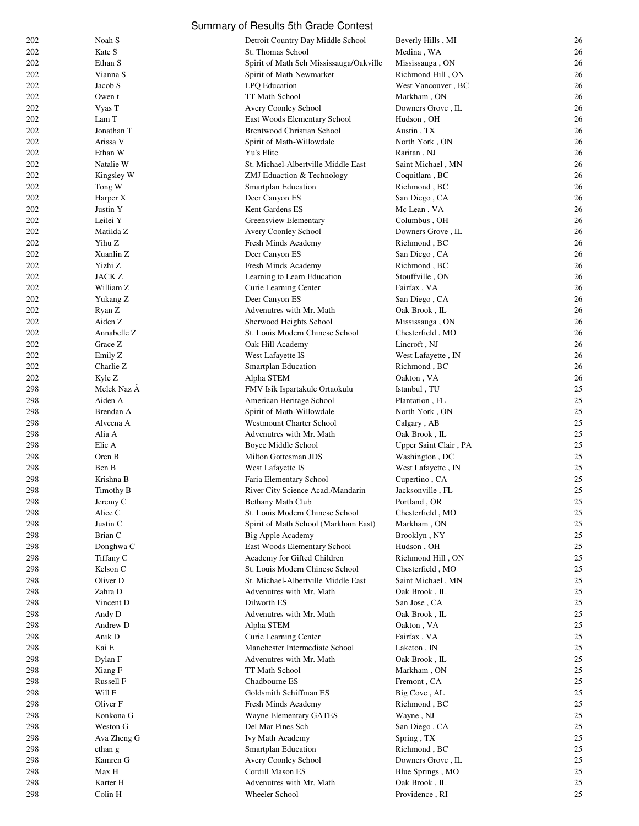| 202 | Noah S              | Detroit Country Day Middle School       | Beverly Hills, MI     | 26 |
|-----|---------------------|-----------------------------------------|-----------------------|----|
| 202 | Kate S              | St. Thomas School                       | Medina, WA            | 26 |
| 202 | Ethan S             | Spirit of Math Sch Mississauga/Oakville | Mississauga, ON       | 26 |
| 202 | Vianna S            | Spirit of Math Newmarket                | Richmond Hill, ON     | 26 |
| 202 | Jacob S             | LPQ Education                           | West Vancouver, BC    | 26 |
| 202 | Owen t              | TT Math School                          | Markham, ON           | 26 |
| 202 | Vyas T              | Avery Coonley School                    | Downers Grove, IL     | 26 |
| 202 | Lam T               | East Woods Elementary School            | Hudson, OH            | 26 |
| 202 | Jonathan T          | <b>Brentwood Christian School</b>       | Austin, TX            | 26 |
| 202 | Arissa V            | Spirit of Math-Willowdale               | North York, ON        | 26 |
| 202 | Ethan W             | Yu's Elite                              | Raritan, NJ           | 26 |
| 202 | Natalie W           | St. Michael-Albertville Middle East     |                       | 26 |
|     |                     |                                         | Saint Michael, MN     |    |
| 202 | Kingsley W          | ZMJ Eduaction & Technology              | Coquitlam, BC         | 26 |
| 202 | Tong W              | Smartplan Education                     | Richmond, BC          | 26 |
| 202 | Harper X            | Deer Canyon ES                          | San Diego, CA         | 26 |
| 202 | Justin Y            | Kent Gardens ES                         | Mc Lean, VA           | 26 |
| 202 | Leilei Y            | Greensview Elementary                   | Columbus, OH          | 26 |
| 202 | Matilda Z           | Avery Coonley School                    | Downers Grove, IL     | 26 |
| 202 | Yihu Z              | Fresh Minds Academy                     | Richmond, BC          | 26 |
| 202 | Xuanlin Z           | Deer Canyon ES                          | San Diego, CA         | 26 |
| 202 | Yizhi Z             | Fresh Minds Academy                     | Richmond, BC          | 26 |
| 202 | JACK Z              | Learning to Learn Education             | Stouffville, ON       | 26 |
| 202 | William Z           | Curie Learning Center                   | Fairfax, VA           | 26 |
| 202 | Yukang Z            | Deer Canyon ES                          | San Diego, CA         | 26 |
| 202 | Ryan Z              | Advenutres with Mr. Math                | Oak Brook, IL         | 26 |
| 202 | Aiden Z             | Sherwood Heights School                 | Mississauga, ON       | 26 |
| 202 | Annabelle Z         | St. Louis Modern Chinese School         | Chesterfield, MO      | 26 |
| 202 | Grace Z             | Oak Hill Academy                        | Lincroft, NJ          | 26 |
| 202 | Emily Z             | West Lafayette IS                       | West Lafayette, IN    | 26 |
| 202 | Charlie Z           | Smartplan Education                     | Richmond, BC          | 26 |
| 202 | Kyle Z              | Alpha STEM                              | Oakton, VA            | 26 |
| 298 | Melek Naz A         | FMV Isik Ispartakule Ortaokulu          | Istanbul, TU          | 25 |
| 298 | Aiden A             | American Heritage School                | Plantation, FL        | 25 |
| 298 | Brendan A           | Spirit of Math-Willowdale               | North York, ON        | 25 |
|     | Alveena A           | <b>Westmount Charter School</b>         | Calgary, AB           | 25 |
| 298 | Alia A              | Advenutres with Mr. Math                | Oak Brook, IL         | 25 |
| 298 |                     |                                         |                       | 25 |
| 298 | Elie A              | Boyce Middle School                     | Upper Saint Clair, PA |    |
| 298 | Oren B              | Milton Gottesman JDS                    | Washington, DC        | 25 |
| 298 | Ben B               | West Lafayette IS                       | West Lafayette, IN    | 25 |
| 298 | Krishna B           | Faria Elementary School                 | Cupertino, CA         | 25 |
| 298 | Timothy B           | River City Science Acad./Mandarin       | Jacksonville, FL      | 25 |
| 298 | Jeremy C            | Bethany Math Club                       | Portland, OR          | 25 |
| 298 | Alice C             | St. Louis Modern Chinese School         | Chesterfield, MO      | 25 |
| 298 | Justin C            | Spirit of Math School (Markham East)    | Markham, ON           | 25 |
| 298 | Brian C             | <b>Big Apple Academy</b>                | Brooklyn, NY          | 25 |
| 298 | Donghwa C           | East Woods Elementary School            | Hudson, OH            | 25 |
| 298 | Tiffany C           | Academy for Gifted Children             | Richmond Hill, ON     | 25 |
| 298 | Kelson C            | St. Louis Modern Chinese School         | Chesterfield, MO      | 25 |
| 298 | Oliver D            | St. Michael-Albertville Middle East     | Saint Michael, MN     | 25 |
| 298 | Zahra D             | Advenutres with Mr. Math                | Oak Brook, IL         | 25 |
| 298 | Vincent D           | Dilworth ES                             | San Jose, CA          | 25 |
| 298 | Andy D              | Advenutres with Mr. Math                | Oak Brook, IL         | 25 |
| 298 | Andrew D            | Alpha STEM                              | Oakton, VA            | 25 |
| 298 | Anik D              | Curie Learning Center                   | Fairfax, VA           | 25 |
| 298 | Kai E               | Manchester Intermediate School          | Laketon, IN           | 25 |
| 298 | Dylan F             | Advenutres with Mr. Math                | Oak Brook, IL         | 25 |
| 298 | Xiang F             | TT Math School                          | Markham, ON           | 25 |
| 298 | Russell F           | Chadbourne ES                           | Fremont, CA           | 25 |
| 298 | Will F              | Goldsmith Schiffman ES                  | Big Cove, AL          | 25 |
| 298 | Oliver <sub>F</sub> | Fresh Minds Academy                     | Richmond, BC          | 25 |
| 298 | Konkona G           | Wayne Elementary GATES                  | Wayne, NJ             | 25 |
| 298 |                     |                                         |                       |    |
|     | Weston G            | Del Mar Pines Sch                       | San Diego, CA         | 25 |
| 298 | Ava Zheng G         | Ivy Math Academy                        | Spring, TX            | 25 |
| 298 | ethan g             | Smartplan Education                     | Richmond, BC          | 25 |
| 298 | Kamren G            | Avery Coonley School                    | Downers Grove, IL     | 25 |
| 298 | Max H               | Cordill Mason ES                        | Blue Springs, MO      | 25 |
| 298 | Karter H            | Advenutres with Mr. Math                | Oak Brook, IL         | 25 |
| 298 | Colin H             | Wheeler School                          | Providence, RI        | 25 |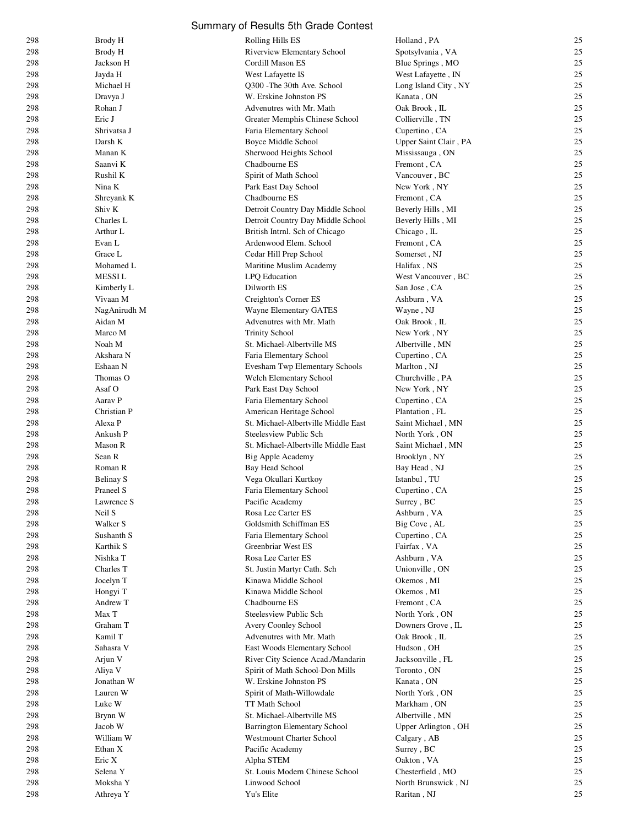|            |                       | Summary of Results 5th Grade Contest              |                                |          |
|------------|-----------------------|---------------------------------------------------|--------------------------------|----------|
| 298        | Brody H               | Rolling Hills ES                                  | Holland, PA                    | 25       |
| 298        | Brody H               | <b>Riverview Elementary School</b>                | Spotsylvania, VA               | 25       |
| 298        | Jackson H             | Cordill Mason ES                                  | Blue Springs, MO               | 25       |
| 298        | Jayda H               | West Lafayette IS                                 | West Lafayette, IN             | 25       |
| 298        | Michael H             | Q300 - The 30th Ave. School                       | Long Island City, NY           | 25       |
| 298        | Dravya J              | W. Erskine Johnston PS                            | Kanata, ON                     | 25       |
| 298        | Rohan J               | Advenutres with Mr. Math                          | Oak Brook, IL                  | 25       |
| 298        | Eric J                | Greater Memphis Chinese School                    | Collierville, TN               | 25       |
| 298        | Shrivatsa J           | Faria Elementary School                           | Cupertino, CA                  | 25       |
| 298        | Darsh K               | Boyce Middle School                               | Upper Saint Clair, PA          | 25       |
| 298        | Manan K               | Sherwood Heights School                           | Mississauga, ON                | 25       |
| 298        | Saanvi K<br>Rushil K  | Chadbourne ES                                     | Fremont, CA<br>Vancouver, BC   | 25<br>25 |
| 298<br>298 | Nina K                | Spirit of Math School<br>Park East Day School     | New York, NY                   | 25       |
| 298        | Shreyank K            | Chadbourne ES                                     | Fremont, CA                    | 25       |
| 298        | Shiv K                | Detroit Country Day Middle School                 | Beverly Hills, MI              | 25       |
| 298        | Charles L             | Detroit Country Day Middle School                 | Beverly Hills, MI              | 25       |
| 298        | Arthur L              | British Intrnl. Sch of Chicago                    | Chicago, IL                    | 25       |
| 298        | Evan L                | Ardenwood Elem. School                            | Fremont, CA                    | 25       |
| 298        | Grace L               | Cedar Hill Prep School                            | Somerset, NJ                   | 25       |
| 298        | Mohamed L             | Maritine Muslim Academy                           | Halifax, NS                    | 25       |
| 298        | <b>MESSIL</b>         | LPQ Education                                     | West Vancouver, BC             | 25       |
| 298        | Kimberly L            | Dilworth ES                                       | San Jose, CA                   | 25       |
| 298        | Vivaan M              | Creighton's Corner ES                             | Ashburn, VA                    | 25       |
| 298        | NagAnirudh M          | Wayne Elementary GATES                            | Wayne, NJ                      | 25       |
| 298        | Aidan M               | Advenutres with Mr. Math                          | Oak Brook, IL                  | 25       |
| 298        | Marco M               | <b>Trinity School</b>                             | New York, NY                   | 25       |
| 298        | Noah M                | St. Michael-Albertville MS                        | Albertville, MN                | 25       |
| 298        | Akshara N             | Faria Elementary School                           | Cupertino, CA                  | 25       |
| 298        | Eshaan N              | Evesham Twp Elementary Schools                    | Marlton, NJ                    | 25       |
| 298        | Thomas O<br>Asaf O    | Welch Elementary School                           | Churchville, PA                | 25<br>25 |
| 298<br>298 | Aarav P               | Park East Day School<br>Faria Elementary School   | New York, NY<br>Cupertino, CA  | 25       |
| 298        | Christian P           | American Heritage School                          | Plantation, FL                 | 25       |
| 298        | Alexa P               | St. Michael-Albertville Middle East               | Saint Michael, MN              | 25       |
| 298        | Ankush P              | Steelesview Public Sch                            | North York, ON                 | 25       |
| 298        | Mason R               | St. Michael-Albertville Middle East               | Saint Michael, MN              | 25       |
| 298        | Sean R                | Big Apple Academy                                 | Brooklyn, NY                   | 25       |
| 298        | Roman R               | Bay Head School                                   | Bay Head, NJ                   | 25       |
| 298        | Belinay S             | Vega Okullari Kurtkoy                             | Istanbul, TU                   | 25       |
| 298        | Praneel S             | Faria Elementary School                           | Cupertino, CA                  | 25       |
| 298        | Lawrence S            | Pacific Academy                                   | Surrey, BC                     | 25       |
| 298        | Neil S                | Rosa Lee Carter ES                                | Ashburn, VA                    | 25       |
| 298        | Walker S              | Goldsmith Schiffman ES                            | Big Cove, AL                   | 25       |
| 298        | Sushanth S            | Faria Elementary School                           | Cupertino, CA                  | 25       |
| 298        | Karthik S             | Greenbriar West ES                                | Fairfax, VA                    | 25       |
| 298<br>298 | Nishka T<br>Charles T | Rosa Lee Carter ES<br>St. Justin Martyr Cath. Sch | Ashburn, VA<br>Unionville, ON  | 25<br>25 |
| 298        | Jocelyn T             | Kinawa Middle School                              | Okemos, MI                     | 25       |
| 298        | Hongyi T              | Kinawa Middle School                              | Okemos, MI                     | 25       |
| 298        | Andrew T              | Chadbourne ES                                     | Fremont, CA                    | 25       |
| 298        | Max T                 | Steelesview Public Sch                            | North York, ON                 | 25       |
| 298        | Graham T              | Avery Coonley School                              | Downers Grove, IL              | 25       |
| 298        | Kamil T               | Advenutres with Mr. Math                          | Oak Brook, IL                  | 25       |
| 298        | Sahasra V             | East Woods Elementary School                      | Hudson, OH                     | 25       |
| 298        | Arjun V               | River City Science Acad./Mandarin                 | Jacksonville, FL               | 25       |
| 298        | Aliya V               | Spirit of Math School-Don Mills                   | Toronto, ON                    | 25       |
| 298        | Jonathan W            | W. Erskine Johnston PS                            | Kanata, ON                     | 25       |
| 298        | Lauren W              | Spirit of Math-Willowdale                         | North York, ON                 | 25       |
| 298        | Luke W                | TT Math School                                    | Markham, ON                    | 25       |
| 298        | Brynn W               | St. Michael-Albertville MS                        | Albertville, MN                | 25       |
| 298        | Jacob W               | <b>Barrington Elementary School</b>               | Upper Arlington, OH            | 25       |
| 298        | William W             | <b>Westmount Charter School</b>                   | Calgary, AB                    | 25       |
| 298        | Ethan X               | Pacific Academy                                   | Surrey, BC                     | 25<br>25 |
| 298        | Eric X<br>Selena Y    | Alpha STEM<br>St. Louis Modern Chinese School     | Oakton, VA<br>Chesterfield, MO | 25       |
| 298<br>298 | Moksha Y              | Linwood School                                    | North Brunswick, NJ            | 25       |
| 298        | Athreya Y             | Yu's Elite                                        | Raritan, NJ                    | 25       |
|            |                       |                                                   |                                |          |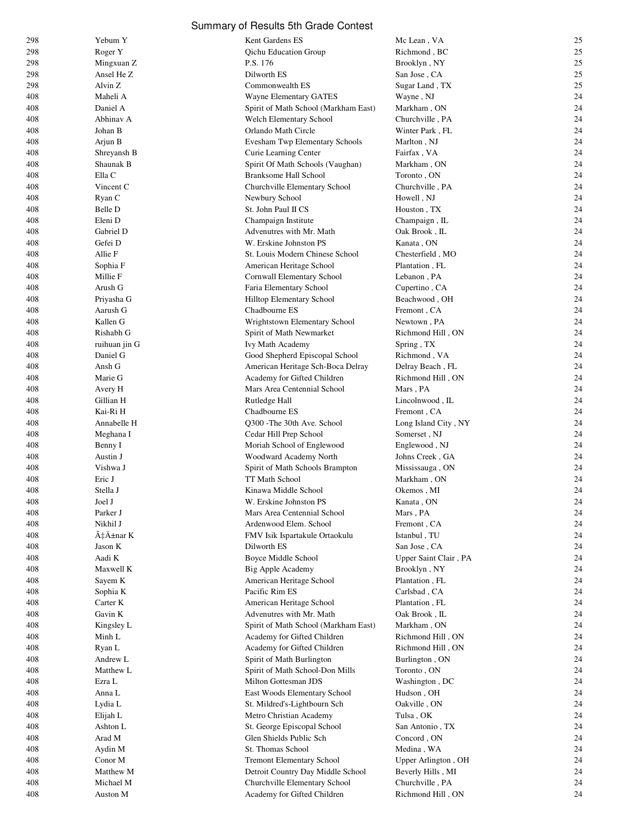|            |                           | Summary of Results 5th Grade Contest                    |                              |          |
|------------|---------------------------|---------------------------------------------------------|------------------------------|----------|
| 298        | Yebum Y                   | Kent Gardens ES                                         | Mc Lean, VA                  | 25       |
| 298        | Roger Y                   | <b>Qichu Education Group</b>                            | Richmond, BC                 | 25       |
| 298        | Mingxuan Z                | P.S. 176                                                | Brooklyn, NY                 | 25       |
| 298        | Ansel He Z                | Dilworth ES                                             | San Jose, CA                 | 25       |
| 298        | Alvin Z                   | Commonwealth ES                                         | Sugar Land, TX               | 25       |
| 408        | Maheli A                  | Wayne Elementary GATES                                  | Wayne, NJ                    | 24       |
| 408        | Daniel A                  | Spirit of Math School (Markham East)                    | Markham, ON                  | 24       |
| 408        | Abhinav A                 | Welch Elementary School                                 | Churchville, PA              | 24       |
| 408        | Johan B                   | Orlando Math Circle                                     | Winter Park, FL              | 24       |
| 408<br>408 | Arjun B<br>Shreyansh B    | Evesham Twp Elementary Schools<br>Curie Learning Center | Marlton, NJ<br>Fairfax, VA   | 24<br>24 |
| 408        | Shaunak B                 | Spirit Of Math Schools (Vaughan)                        | Markham, ON                  | 24       |
| 408        | Ella C                    | <b>Branksome Hall School</b>                            | Toronto, ON                  | 24       |
| 408        | Vincent C                 | Churchville Elementary School                           | Churchville, PA              | 24       |
| 408        | Ryan C                    | Newbury School                                          | Howell, NJ                   | 24       |
| 408        | Belle D                   | St. John Paul II CS                                     | Houston, TX                  | 24       |
| 408        | Eleni D                   | Champaign Institute                                     | Champaign, IL                | 24       |
| 408        | Gabriel D                 | Advenutres with Mr. Math                                | Oak Brook, IL                | 24       |
| 408        | Gefei D                   | W. Erskine Johnston PS                                  | Kanata, ON                   | 24       |
| 408        | Allie F                   | St. Louis Modern Chinese School                         | Chesterfield, MO             | 24       |
| 408        | Sophia F                  | American Heritage School                                | Plantation, FL               | 24       |
| 408        | Millie F                  | Cornwall Elementary School                              | Lebanon, PA                  | 24       |
| 408        | Arush G                   | Faria Elementary School                                 | Cupertino, CA                | 24       |
| 408        | Priyasha G                | Hilltop Elementary School                               | Beachwood, OH                | 24       |
| 408        | Aarush G                  | Chadbourne ES                                           | Fremont, CA                  | 24       |
| 408        | Kallen G                  | Wrightstown Elementary School                           | Newtown, PA                  | 24       |
| 408        | Rishabh G                 | Spirit of Math Newmarket                                | Richmond Hill, ON            | 24<br>24 |
| 408<br>408 | ruihuan jin G<br>Daniel G | Ivy Math Academy<br>Good Shepherd Episcopal School      | Spring, TX<br>Richmond, VA   | 24       |
| 408        | Ansh G                    | American Heritage Sch-Boca Delray                       | Delray Beach, FL             | 24       |
| 408        | Marie G                   | Academy for Gifted Children                             | Richmond Hill, ON            | 24       |
| 408        | Avery H                   | Mars Area Centennial School                             | Mars, PA                     | 24       |
| 408        | Gillian H                 | Rutledge Hall                                           | Lincolnwood, IL              | 24       |
| 408        | Kai-Ri H                  | Chadbourne ES                                           | Fremont, CA                  | 24       |
| 408        | Annabelle H               | O300 - The 30th Ave. School                             | Long Island City, NY         | 24       |
| 408        | Meghana I                 | Cedar Hill Prep School                                  | Somerset, NJ                 | 24       |
| 408        | Benny I                   | Moriah School of Englewood                              | Englewood, NJ                | 24       |
| 408        | Austin J                  | Woodward Academy North                                  | Johns Creek, GA              | 24       |
| 408        | Vishwa J                  | Spirit of Math Schools Brampton                         | Mississauga, ON              | 24       |
| 408        | Eric J                    | TT Math School                                          | Markham, ON                  | 24       |
| 408        | Stella J                  | Kinawa Middle School                                    | Okemos, MI                   | 24       |
| 408        | Joel J                    | W. Erskine Johnston PS                                  | Kanata, ON                   | 24       |
| 408<br>408 | Parker J<br>Nikhil J      | Mars Area Centennial School<br>Ardenwood Elem. School   | Mars, PA<br>Fremont, CA      | 24<br>24 |
| 408        | Çınar K                   | FMV Isik Ispartakule Ortaokulu                          | Istanbul, TU                 | 24       |
| 408        | Jason K                   | Dilworth ES                                             | San Jose, CA                 | 24       |
| 408        | Aadi K                    | Boyce Middle School                                     | Upper Saint Clair, PA        | 24       |
| 408        | Maxwell K                 | Big Apple Academy                                       | Brooklyn, NY                 | 24       |
| 408        | Sayem K                   | American Heritage School                                | Plantation, FL               | 24       |
| 408        | Sophia K                  | Pacific Rim ES                                          | Carlsbad, CA                 | 24       |
| 408        | Carter K                  | American Heritage School                                | Plantation, FL               | 24       |
| 408        | Gavin K                   | Advenutres with Mr. Math                                | Oak Brook, IL                | 24       |
| 408        | Kingsley L                | Spirit of Math School (Markham East)                    | Markham, ON                  | 24       |
| 408        | Minh L                    | Academy for Gifted Children                             | Richmond Hill, ON            | 24       |
| 408        | Ryan L                    | Academy for Gifted Children                             | Richmond Hill, ON            | 24       |
| 408        | Andrew L                  | Spirit of Math Burlington                               | Burlington, ON               | 24       |
| 408        | Matthew L                 | Spirit of Math School-Don Mills                         | Toronto, ON                  | 24<br>24 |
| 408<br>408 | Ezra L<br>Anna L          | Milton Gottesman JDS<br>East Woods Elementary School    | Washington, DC<br>Hudson, OH | 24       |
| 408        | Lydia L                   | St. Mildred's-Lightbourn Sch                            | Oakville, ON                 | 24       |
| 408        | Elijah L                  | Metro Christian Academy                                 | Tulsa, OK                    | 24       |
| 408        | Ashton L                  | St. George Episcopal School                             | San Antonio, TX              | 24       |
| 408        | Arad M                    | Glen Shields Public Sch                                 | Concord, ON                  | 24       |
| 408        | Aydin M                   | St. Thomas School                                       | Medina, WA                   | 24       |
| 408        | Conor $\mathbf M$         | <b>Tremont Elementary School</b>                        | Upper Arlington, OH          | 24       |
| 408        | Matthew M                 | Detroit Country Day Middle School                       | Beverly Hills, MI            | 24       |
| 408        | Michael M                 | Churchville Elementary School                           | Churchville, PA              | 24       |
| 408        | Auston M                  | Academy for Gifted Children                             | Richmond Hill, ON            | 24       |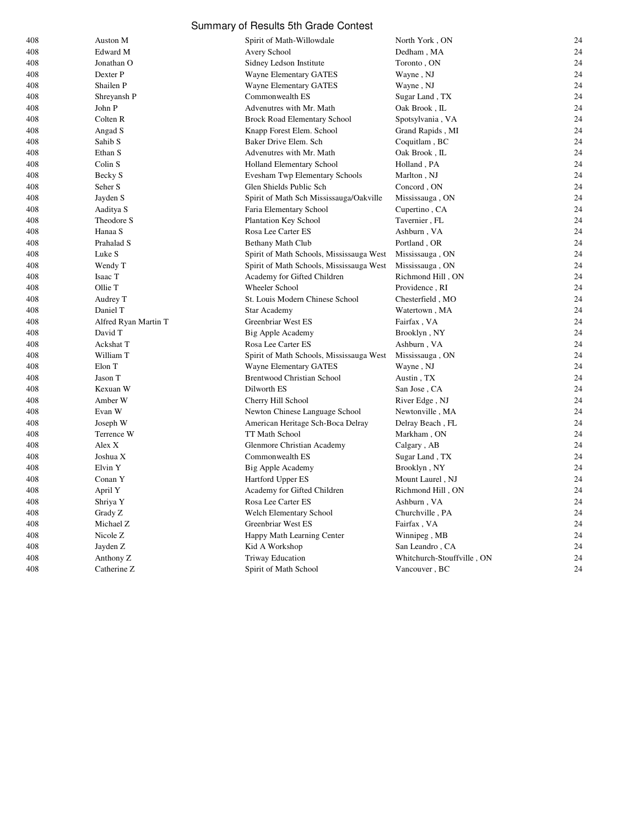| 408 | Auston M             | Spirit of Math-Willowdale                | North York, ON             | 24 |
|-----|----------------------|------------------------------------------|----------------------------|----|
| 408 | Edward M             | Avery School                             | Dedham, MA                 | 24 |
| 408 | Jonathan O           | Sidney Ledson Institute                  | Toronto, ON                | 24 |
| 408 | Dexter P             | Wayne Elementary GATES                   | Wayne, NJ                  | 24 |
| 408 | Shailen P            | Wayne Elementary GATES                   | Wayne, NJ                  | 24 |
| 408 | Shreyansh P          | Commonwealth ES                          | Sugar Land, TX             | 24 |
| 408 | John P               | Advenutres with Mr. Math                 | Oak Brook, IL              | 24 |
| 408 | Colten R             | <b>Brock Road Elementary School</b>      | Spotsylvania, VA           | 24 |
| 408 | Angad S              | Knapp Forest Elem. School                | Grand Rapids, MI           | 24 |
| 408 | Sahib <sub>S</sub>   | Baker Drive Elem. Sch                    | Coquitlam, BC              | 24 |
| 408 | Ethan S              | Advenutres with Mr. Math                 | Oak Brook, IL              | 24 |
| 408 | Colin S              | Holland Elementary School                | Holland, PA                | 24 |
| 408 | Becky S              | Evesham Twp Elementary Schools           | Marlton, NJ                | 24 |
| 408 | Seher S              | Glen Shields Public Sch                  | Concord, ON                | 24 |
| 408 | Jayden S             | Spirit of Math Sch Mississauga/Oakville  | Mississauga, ON            | 24 |
| 408 | Aaditya S            | Faria Elementary School                  | Cupertino, CA              | 24 |
| 408 | Theodore S           | Plantation Key School                    | Tavernier, FL              | 24 |
| 408 | Hanaa S              | Rosa Lee Carter ES                       | Ashburn, VA                | 24 |
| 408 | Prahalad S           | Bethany Math Club                        | Portland, OR               | 24 |
| 408 | Luke S               | Spirit of Math Schools, Mississauga West | Mississauga, ON            | 24 |
| 408 | Wendy T              | Spirit of Math Schools, Mississauga West | Mississauga, ON            | 24 |
| 408 | Isaac T              | Academy for Gifted Children              | Richmond Hill, ON          | 24 |
| 408 | Ollie T              | Wheeler School                           | Providence, RI             | 24 |
| 408 | Audrey T             | St. Louis Modern Chinese School          | Chesterfield, MO           | 24 |
| 408 | Daniel T             | <b>Star Academy</b>                      | Watertown, MA              | 24 |
| 408 | Alfred Ryan Martin T | Greenbriar West ES                       | Fairfax, VA                | 24 |
| 408 | David T              | Big Apple Academy                        | Brooklyn, NY               | 24 |
| 408 | Ackshat T            | Rosa Lee Carter ES                       | Ashburn, VA                | 24 |
| 408 | William T            | Spirit of Math Schools, Mississauga West | Mississauga, ON            | 24 |
| 408 | Elon T               | Wayne Elementary GATES                   | Wayne, NJ                  | 24 |
| 408 | Jason T              | <b>Brentwood Christian School</b>        | Austin, TX                 | 24 |
| 408 | Kexuan W             | Dilworth ES                              | San Jose, CA               | 24 |
| 408 | Amber W              | Cherry Hill School                       | River Edge, NJ             | 24 |
| 408 | Evan W               | Newton Chinese Language School           | Newtonville, MA            | 24 |
| 408 | Joseph W             | American Heritage Sch-Boca Delray        | Delray Beach, FL           | 24 |
| 408 | Terrence W           | TT Math School                           | Markham, ON                | 24 |
| 408 | Alex X               | Glenmore Christian Academy               | Calgary, AB                | 24 |
| 408 | Joshua X             | Commonwealth ES                          | Sugar Land, TX             | 24 |
| 408 | Elvin Y              | Big Apple Academy                        | Brooklyn, NY               | 24 |
| 408 | Conan Y              | Hartford Upper ES                        | Mount Laurel, NJ           | 24 |
| 408 | April Y              | Academy for Gifted Children              | Richmond Hill, ON          | 24 |
| 408 | Shriya Y             | Rosa Lee Carter ES                       | Ashburn, VA                | 24 |
| 408 | Grady Z              | Welch Elementary School                  | Churchville, PA            | 24 |
| 408 | Michael Z            | Greenbriar West ES                       | Fairfax, VA                | 24 |
| 408 | Nicole Z             | Happy Math Learning Center               | Winnipeg, MB               | 24 |
| 408 | Jayden Z             | Kid A Workshop                           | San Leandro, CA            | 24 |
| 408 | Anthony Z            | <b>Triway Education</b>                  | Whitchurch-Stouffville, ON | 24 |
| 408 | Catherine Z          | Spirit of Math School                    | Vancouver, BC              | 24 |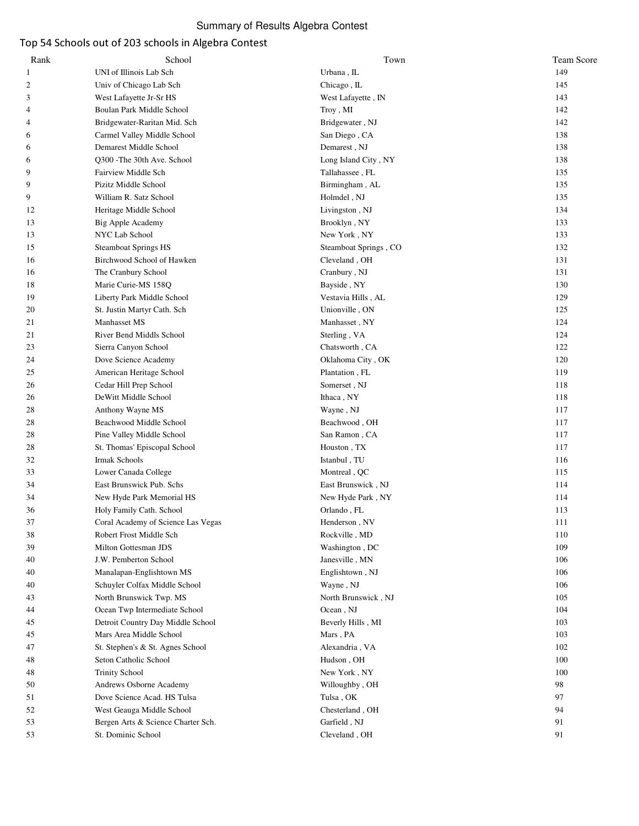# Summary of Results Algebra Contest

# Top 54 Schools out of 203 schools in Algebra Contest

| Rank           | School                             | Town                  | Team Score |
|----------------|------------------------------------|-----------------------|------------|
| $\mathbf{1}$   | UNI of Illinois Lab Sch            | Urbana, IL            | 149        |
| 2              | Univ of Chicago Lab Sch            | Chicago, IL           | 145        |
| 3              | West Lafayette Jr-Sr HS            | West Lafayette, IN    | 143        |
| 4              | Boulan Park Middle School          | Troy, MI              | 142        |
| $\overline{4}$ | Bridgewater-Raritan Mid. Sch       | Bridgewater, NJ       | 142        |
| 6              | Carmel Valley Middle School        | San Diego, CA         | 138        |
| 6              | Demarest Middle School             | Demarest, NJ          | 138        |
| 6              | Q300 - The 30th Ave. School        | Long Island City, NY  | 138        |
| 9              | Fairview Middle Sch                | Tallahassee, FL       | 135        |
| 9              | Pizitz Middle School               | Birmingham, AL        | 135        |
| 9              | William R. Satz School             | Holmdel, NJ           | 135        |
| 12             | Heritage Middle School             | Livingston, NJ        | 134        |
| 13             | <b>Big Apple Academy</b>           | Brooklyn, NY          | 133        |
| 13             | NYC Lab School                     | New York, NY          | 133        |
| 15             | <b>Steamboat Springs HS</b>        | Steamboat Springs, CO | 132        |
| 16             | Birchwood School of Hawken         | Cleveland, OH         | 131        |
| 16             | The Cranbury School                | Cranbury, NJ          | 131        |
| 18             | Marie Curie-MS 158Q                | Bayside, NY           | 130        |
| 19             | Liberty Park Middle School         | Vestavia Hills, AL    | 129        |
| 20             | St. Justin Martyr Cath. Sch        | Unionville, ON        | 125        |
| 21             | Manhasset MS                       | Manhasset, NY         | 124        |
| 21             | River Bend Middls School           | Sterling, VA          | 124        |
| 23             | Sierra Canyon School               | Chatsworth, CA        | 122        |
| 24             | Dove Science Academy               | Oklahoma City, OK     | 120        |
| 25             | American Heritage School           | Plantation, FL        | 119        |
| 26             | Cedar Hill Prep School             | Somerset, NJ          | 118        |
| 26             | DeWitt Middle School               | Ithaca, NY            | 118        |
| 28             | Anthony Wayne MS                   | Wayne, NJ             | 117        |
| 28             | Beachwood Middle School            | Beachwood, OH         | 117        |
| 28             | Pine Valley Middle School          | San Ramon, CA         | 117        |
| 28             | St. Thomas' Episcopal School       | Houston, TX           | 117        |
| 32             | Irmak Schools                      | Istanbul, TU          | 116        |
| 33             | Lower Canada College               | Montreal, QC          | 115        |
|                | East Brunswick Pub. Schs           |                       |            |
| 34             |                                    | East Brunswick, NJ    | 114        |
| 34             | New Hyde Park Memorial HS          | New Hyde Park, NY     | 114<br>113 |
| 36             | Holy Family Cath. School           | Orlando, FL           |            |
| 37             | Coral Academy of Science Las Vegas | Henderson, NV         | 111        |
| 38             | Robert Frost Middle Sch            | Rockville, MD         | 110        |
| 39             | Milton Gottesman JDS               | Washington, DC        | 109        |
| 40             | J.W. Pemberton School              | Janesville, MN        | 106        |
| 40             | Manalapan-Englishtown MS           | Englishtown, NJ       | 106        |
| 40             | Schuyler Colfax Middle School      | Wayne, NJ             | 106        |
| 43             | North Brunswick Twp. MS            | North Brunswick, NJ   | 105        |
| 44             | Ocean Twp Intermediate School      | Ocean, NJ             | 104        |
| 45             | Detroit Country Day Middle School  | Beverly Hills, MI     | 103        |
| 45             | Mars Area Middle School            | Mars, PA              | 103        |
| 47             | St. Stephen's & St. Agnes School   | Alexandria, VA        | 102        |
| 48             | Seton Catholic School              | Hudson, OH            | 100        |
| 48             | <b>Trinity School</b>              | New York, NY          | 100        |
| 50             | Andrews Osborne Academy            | Willoughby, OH        | 98         |
| 51             | Dove Science Acad. HS Tulsa        | Tulsa, OK             | 97         |
| 52             | West Geauga Middle School          | Chesterland, OH       | 94         |
| 53             | Bergen Arts & Science Charter Sch. | Garfield, NJ          | 91         |
| 53             | St. Dominic School                 | Cleveland, OH         | 91         |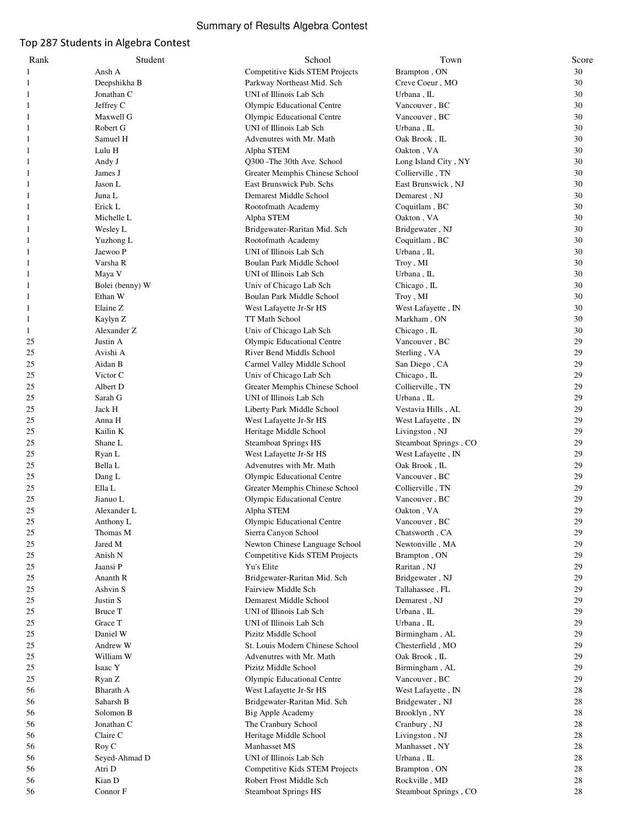# Summary of Results Algebra Contest

# Top 287 Students in Algebra Contest

| Rank     | Student                  | School                                             | Town                        | Score    |
|----------|--------------------------|----------------------------------------------------|-----------------------------|----------|
| 1        | Ansh A                   | Competitive Kids STEM Projects                     | Brampton, ON                | 30       |
| 1        | Deepshikha B             | Parkway Northeast Mid. Sch                         | Creve Coeur, MO             | 30       |
| 1        | Jonathan C               | UNI of Illinois Lab Sch                            | Urbana, IL                  | 30       |
| 1        | Jeffrey C                | Olympic Educational Centre                         | Vancouver, BC               | 30       |
| 1        | Maxwell G                | Olympic Educational Centre                         | Vancouver, BC               | 30       |
| 1        | Robert G                 | UNI of Illinois Lab Sch                            | Urbana, IL                  | 30       |
| -1       | Samuel H                 | Advenutres with Mr. Math                           | Oak Brook, IL               | 30       |
| 1        | Lulu H                   | Alpha STEM                                         | Oakton, VA                  | 30       |
| 1        | Andy J                   | Q300 - The 30th Ave. School                        | Long Island City, NY        | 30       |
| 1        | James J                  | Greater Memphis Chinese School                     | Collierville, TN            | 30       |
| 1        | Jason L                  | East Brunswick Pub. Schs                           | East Brunswick, NJ          | 30       |
| -1       | Juna L                   | Demarest Middle School                             | Demarest, NJ                | 30       |
|          | Erick L                  | Rootofmath Academy                                 | Coquitlam, BC               | 30       |
| 1        | Michelle L               | Alpha STEM                                         | Oakton, VA                  | 30       |
| 1        | Wesley L                 | Bridgewater-Raritan Mid. Sch                       | Bridgewater, NJ             | 30       |
| 1        | Yuzhong L                | Rootofmath Academy                                 | Coquitlam, BC               | 30       |
| -1       | Jaewoo P                 | UNI of Illinois Lab Sch                            | Urbana, IL                  | 30       |
|          | Varsha R                 | Boulan Park Middle School                          | Troy, MI                    | 30       |
| 1        | Maya V                   | UNI of Illinois Lab Sch                            | Urbana, IL                  | 30       |
| 1        | Bolei (benny) W          | Univ of Chicago Lab Sch                            | Chicago, IL                 | 30       |
| 1        | Ethan W                  | Boulan Park Middle School                          | Troy, MI                    | 30       |
| 1        | Elaine Z                 | West Lafayette Jr-Sr HS                            | West Lafayette, IN          | 30       |
| 1        | Kaylyn Z                 | TT Math School                                     | Markham, ON                 | 30       |
| 1        | Alexander Z              | Univ of Chicago Lab Sch                            | Chicago, IL                 | 30       |
| 25       | Justin A                 | Olympic Educational Centre                         | Vancouver, BC               | 29       |
| 25       | Avishi A                 | River Bend Middls School                           | Sterling, VA                | 29       |
| 25       | Aidan B                  | Carmel Valley Middle School                        | San Diego, CA               | 29       |
| 25       | Victor C                 | Univ of Chicago Lab Sch                            | Chicago, IL                 | 29       |
| 25       | Albert D                 | Greater Memphis Chinese School                     | Collierville, TN            | 29       |
| 25       | Sarah G                  | UNI of Illinois Lab Sch                            | Urbana, IL                  | 29       |
| 25       | Jack H                   | Liberty Park Middle School                         | Vestavia Hills, AL          | 29       |
| 25       | Anna H                   | West Lafayette Jr-Sr HS                            | West Lafayette, IN          | 29       |
| 25       | Kailin K                 | Heritage Middle School                             | Livingston, NJ              | 29       |
| 25       | Shane L                  | <b>Steamboat Springs HS</b>                        | Steamboat Springs, CO       | 29       |
| 25       | Ryan L                   | West Lafayette Jr-Sr HS                            | West Lafayette, IN          | 29       |
| 25       | Bella L                  | Advenutres with Mr. Math                           | Oak Brook, IL               | 29       |
| 25       | Dang L                   | Olympic Educational Centre                         | Vancouver, BC               | 29       |
| 25       | Ella L                   | Greater Memphis Chinese School                     | Collierville, TN            | 29       |
| 25<br>25 | Jianuo L                 | Olympic Educational Centre                         | Vancouver, BC               | 29<br>29 |
| 25       | Alexander L<br>Anthony L | Alpha STEM                                         | Oakton, VA<br>Vancouver, BC | 29       |
| 25       | Thomas M                 | Olympic Educational Centre<br>Sierra Canyon School | Chatsworth, CA              | 29       |
| 25       | Jared M                  | Newton Chinese Language School                     | Newtonville, MA             | 29       |
| 25       | Anish N                  | Competitive Kids STEM Projects                     | Brampton, ON                | 29       |
| 25       | Jaansi P                 | Yu's Elite                                         | Raritan, NJ                 | 29       |
| 25       | Ananth R                 | Bridgewater-Raritan Mid. Sch                       | Bridgewater, NJ             | 29       |
| 25       | Ashvin S                 | Fairview Middle Sch                                | Tallahassee, FL             | 29       |
| 25       | Justin S                 | Demarest Middle School                             | Demarest, NJ                | 29       |
| 25       | Bruce T                  | UNI of Illinois Lab Sch                            | Urbana, IL                  | 29       |
| 25       | Grace T                  | UNI of Illinois Lab Sch                            | Urbana, IL                  | 29       |
| 25       | Daniel W                 | Pizitz Middle School                               | Birmingham, AL              | 29       |
| 25       | Andrew W                 | St. Louis Modern Chinese School                    | Chesterfield, MO            | 29       |
| 25       | William W                | Advenutres with Mr. Math                           | Oak Brook, IL               | 29       |
| 25       | Isaac Y                  | Pizitz Middle School                               | Birmingham, AL              | 29       |
| 25       | Ryan Z                   | Olympic Educational Centre                         | Vancouver, BC               | 29       |
| 56       | Bharath A                | West Lafayette Jr-Sr HS                            | West Lafayette, IN          | 28       |
| 56       | Saharsh B                | Bridgewater-Raritan Mid. Sch                       | Bridgewater, NJ             | 28       |
| 56       | Solomon B                | <b>Big Apple Academy</b>                           | Brooklyn, NY                | 28       |
| 56       | Jonathan C               | The Cranbury School                                | Cranbury, NJ                | 28       |
| 56       | Claire C                 | Heritage Middle School                             | Livingston, NJ              | 28       |
| 56       | Roy C                    | Manhasset MS                                       | Manhasset, NY               | 28       |
| 56       | Seyed-Ahmad D            | UNI of Illinois Lab Sch                            | Urbana, IL                  | 28       |
| 56       | Atri D                   | Competitive Kids STEM Projects                     | Brampton, ON                | 28       |
| 56       | Kian D                   | Robert Frost Middle Sch                            | Rockville, MD               | 28       |
| 56       | Connor F                 | <b>Steamboat Springs HS</b>                        | Steamboat Springs, CO       | 28       |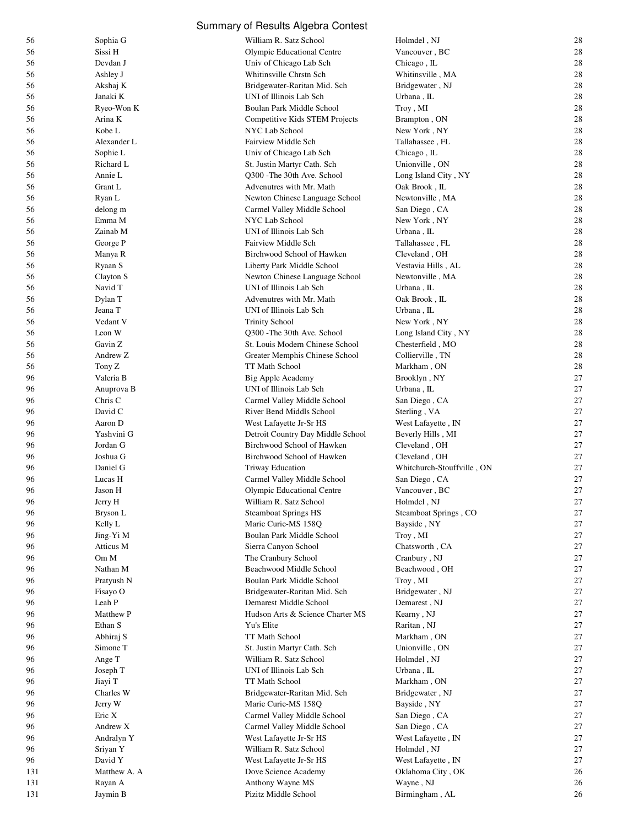|            |                     | Summary of Results Algebra Contest                     |                                |          |
|------------|---------------------|--------------------------------------------------------|--------------------------------|----------|
| 56         | Sophia G            | William R. Satz School                                 | Holmdel, NJ                    | 28       |
| 56         | Sissi H             | Olympic Educational Centre                             | Vancouver, BC                  | 28       |
| 56         | Devdan J            | Univ of Chicago Lab Sch                                | Chicago, IL                    | 28       |
| 56         | Ashley J            | Whitinsville Chrstn Sch                                | Whitinsville, MA               | 28       |
| 56         | Akshaj K            | Bridgewater-Raritan Mid. Sch                           | Bridgewater, NJ                | 28       |
| 56         | Janaki K            | UNI of Illinois Lab Sch                                | Urbana, IL                     | 28       |
| 56         | Ryeo-Won K          | Boulan Park Middle School                              | Troy, MI                       | 28       |
| 56         | Arina K             | Competitive Kids STEM Projects                         | Brampton, ON                   | 28       |
| 56         | Kobe L              | NYC Lab School                                         | New York, NY                   | 28       |
| 56         | Alexander L         | <b>Fairview Middle Sch</b>                             | Tallahassee, FL                | 28       |
| 56         | Sophie L            | Univ of Chicago Lab Sch                                | Chicago, IL                    | 28       |
| 56         | Richard L           | St. Justin Martyr Cath. Sch                            | Unionville, ON                 | 28       |
| 56         | Annie L             | Q300 - The 30th Ave. School                            | Long Island City, NY           | 28       |
| 56         | Grant L             | Advenutres with Mr. Math                               | Oak Brook, IL                  | 28       |
| 56         | Ryan L              | Newton Chinese Language School                         | Newtonville, MA                | 28       |
| 56         | delong m            | Carmel Valley Middle School                            | San Diego, CA                  | 28       |
| 56         | Emma M              | NYC Lab School                                         | New York, NY                   | 28       |
| 56         | Zainab M            | UNI of Illinois Lab Sch                                | Urbana, IL                     | 28       |
| 56         | George P            | Fairview Middle Sch                                    | Tallahassee, FL                | 28       |
| 56         | Manya R             | Birchwood School of Hawken                             | Cleveland, OH                  | 28       |
| 56         | Ryaan S             | Liberty Park Middle School                             | Vestavia Hills, AL             | 28       |
| 56         | Clayton S           | Newton Chinese Language School                         | Newtonville, MA                | 28       |
| 56         | Navid T             | UNI of Illinois Lab Sch                                | Urbana, IL                     | 28       |
| 56         | Dylan T             | Advenutres with Mr. Math                               | Oak Brook, IL                  | 28       |
| 56         | Jeana T             | UNI of Illinois Lab Sch                                | Urbana, IL                     | 28       |
| 56         | Vedant V            | <b>Trinity School</b>                                  | New York, NY                   | 28       |
| 56         | Leon W              | Q300 - The 30th Ave. School                            | Long Island City, NY           | 28       |
| 56         | Gavin Z             | St. Louis Modern Chinese School                        | Chesterfield, MO               | 28       |
| 56         | Andrew Z            | Greater Memphis Chinese School                         | Collierville, TN               | 28       |
| 56         | Tony Z              | TT Math School                                         | Markham, ON                    | 28       |
| 96         | Valeria B           | Big Apple Academy                                      | Brooklyn, NY                   | 27       |
| 96         | Anuprova B          | UNI of Illinois Lab Sch                                | Urbana, IL                     | 27       |
| 96         | Chris C             | Carmel Valley Middle School                            | San Diego, CA                  | 27       |
| 96         | David C             | River Bend Middls School                               | Sterling, VA                   | 27       |
| 96         | Aaron D             | West Lafayette Jr-Sr HS                                | West Lafayette, IN             | 27       |
| 96         | Yashvini G          | Detroit Country Day Middle School                      | Beverly Hills, MI              | 27       |
| 96         | Jordan G            | Birchwood School of Hawken                             | Cleveland, OH                  | 27       |
| 96         | Joshua G            | Birchwood School of Hawken                             | Cleveland, OH                  | 27       |
| 96         | Daniel G            | <b>Triway Education</b>                                | Whitchurch-Stouffville, ON     | 27       |
| 96         | Lucas H             | Carmel Valley Middle School                            | San Diego, CA                  | 27       |
| 96         | Jason H             | Olympic Educational Centre                             | Vancouver, BC                  | 27       |
| 96         | Jerry H             | William R. Satz School                                 | Holmdel, NJ                    | 27       |
| 96         | Bryson L            | <b>Steamboat Springs HS</b>                            | Steamboat Springs, CO          | 27       |
| 96         | Kelly L             | Marie Curie-MS 158Q                                    | Bayside, NY                    | 27       |
| 96         | Jing-Yi M           | Boulan Park Middle School                              | Troy, MI                       | 27       |
| 96         | Atticus M           | Sierra Canyon School                                   | Chatsworth, CA                 | 27       |
| 96         | Om M                | The Cranbury School                                    | Cranbury, NJ                   | 27       |
| 96         | Nathan M            | Beachwood Middle School                                | Beachwood, OH                  | $27\,$   |
| 96         | Pratyush N          | Boulan Park Middle School                              | Troy, MI                       | 27       |
| 96         | Fisayo O            | Bridgewater-Raritan Mid. Sch<br>Demarest Middle School | Bridgewater, NJ                | 27<br>27 |
| 96         | Leah P              |                                                        | Demarest, NJ                   | 27       |
| 96         | Matthew P           | Hudson Arts & Science Charter MS                       | Kearny, NJ                     | 27       |
| 96         | Ethan S             | Yu's Elite                                             | Raritan, NJ                    | 27       |
| 96         | Abhiraj S           | TT Math School                                         | Markham, ON                    | 27       |
| 96<br>96   | Simone T            | St. Justin Martyr Cath. Sch<br>William R. Satz School  | Unionville, ON<br>Holmdel, NJ  | 27       |
| 96         | Ange T              | UNI of Illinois Lab Sch                                | Urbana, IL                     | 27       |
| 96         | Joseph T<br>Jiayi T | TT Math School                                         | Markham, ON                    | 27       |
| 96         | Charles W           | Bridgewater-Raritan Mid. Sch                           | Bridgewater, NJ                | 27       |
| 96         | Jerry W             | Marie Curie-MS 158Q                                    | Bayside, NY                    | 27       |
| 96         | Eric X              | Carmel Valley Middle School                            |                                | 27       |
| 96         | Andrew X            |                                                        | San Diego, CA<br>San Diego, CA | 27       |
|            |                     | Carmel Valley Middle School                            |                                |          |
| 96         | Andralyn Y          | West Lafayette Jr-Sr HS                                | West Lafayette, IN             | $27\,$   |
| 96         | Sriyan Y            | William R. Satz School                                 | Holmdel, NJ                    | 27<br>27 |
| 96         | David Y             | West Lafayette Jr-Sr HS                                | West Lafayette, IN             |          |
| 131        | Matthew A. A        | Dove Science Academy                                   | Oklahoma City, OK              | 26<br>26 |
| 131<br>131 | Rayan A<br>Jaymin B | Anthony Wayne MS<br>Pizitz Middle School               | Wayne, NJ<br>Birmingham, AL    | 26       |
|            |                     |                                                        |                                |          |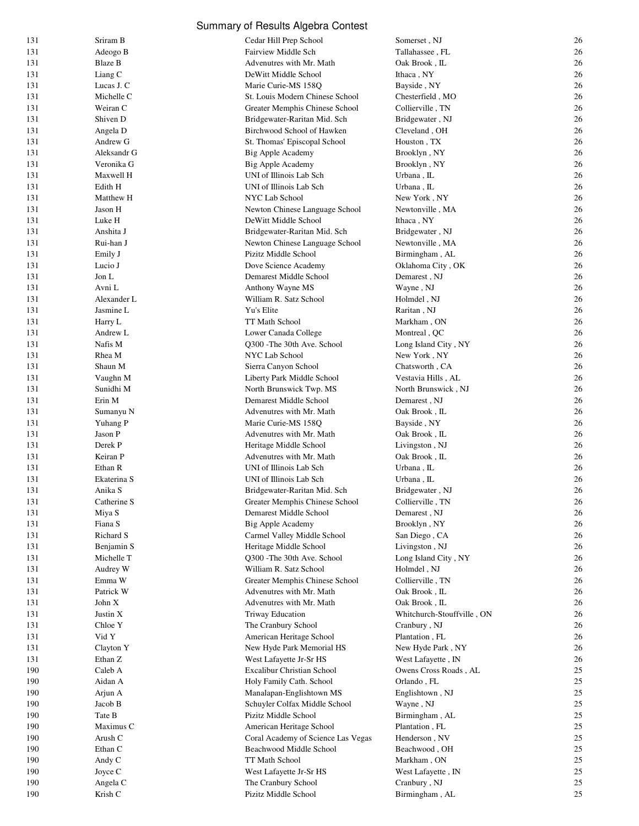|            |                      | Summary of Results Algebra Contest                    |                                             |          |
|------------|----------------------|-------------------------------------------------------|---------------------------------------------|----------|
| 131        | Sriram B             | Cedar Hill Prep School                                | Somerset, NJ                                | 26       |
| 131        | Adeogo B             | Fairview Middle Sch                                   | Tallahassee, FL                             | 26       |
| 131        | <b>Blaze B</b>       | Advenutres with Mr. Math                              | Oak Brook, IL                               | 26       |
| 131        | Liang C              | DeWitt Middle School                                  | Ithaca, NY                                  | 26       |
| 131        | Lucas J. C           | Marie Curie-MS 158Q                                   | Bayside, NY                                 | 26       |
| 131        | Michelle C           | St. Louis Modern Chinese School                       | Chesterfield, MO                            | 26       |
| 131        | Weiran C             | Greater Memphis Chinese School                        | Collierville, TN                            | 26       |
| 131        | Shiven D             | Bridgewater-Raritan Mid. Sch                          | Bridgewater, NJ                             | 26       |
| 131        | Angela D             | Birchwood School of Hawken                            | Cleveland, OH                               | 26       |
| 131        | Andrew G             | St. Thomas' Episcopal School                          | Houston, TX                                 | 26       |
| 131        | Aleksandr G          | Big Apple Academy                                     | Brooklyn, NY                                | 26       |
| 131        | Veronika G           | Big Apple Academy                                     | Brooklyn, NY                                | 26       |
| 131        | Maxwell H            | UNI of Illinois Lab Sch                               | Urbana, IL                                  | 26       |
| 131        | Edith H              | UNI of Illinois Lab Sch                               | Urbana, IL                                  | 26       |
| 131        | Matthew H            | NYC Lab School                                        | New York, NY                                | 26       |
| 131        | Jason H              | Newton Chinese Language School                        | Newtonville, MA                             | 26       |
| 131        | Luke H               | DeWitt Middle School                                  | Ithaca, NY                                  | 26       |
| 131        | Anshita J            | Bridgewater-Raritan Mid. Sch                          | Bridgewater, NJ                             | 26       |
| 131        | Rui-han J            | Newton Chinese Language School                        | Newtonville, MA                             | 26       |
| 131        | Emily J<br>Lucio J   | Pizitz Middle School                                  | Birmingham, AL                              | 26       |
| 131<br>131 | Jon L                | Dove Science Academy                                  | Oklahoma City, OK                           | 26<br>26 |
| 131        | Avni L               | Demarest Middle School<br>Anthony Wayne MS            | Demarest, NJ<br>Wayne, NJ                   | 26       |
| 131        | Alexander L          | William R. Satz School                                | Holmdel, NJ                                 | 26       |
| 131        | Jasmine L            | Yu's Elite                                            | Raritan, NJ                                 | 26       |
| 131        | Harry L              | TT Math School                                        | Markham, ON                                 | 26       |
| 131        | Andrew L             | Lower Canada College                                  | Montreal, QC                                | 26       |
| 131        | Nafis M              | Q300 - The 30th Ave. School                           | Long Island City, NY                        | 26       |
| 131        | Rhea M               | NYC Lab School                                        | New York, NY                                | 26       |
| 131        | Shaun M              | Sierra Canyon School                                  | Chatsworth, CA                              | 26       |
| 131        | Vaughn M             | Liberty Park Middle School                            | Vestavia Hills, AL                          | 26       |
| 131        | Sunidhi M            | North Brunswick Twp. MS                               | North Brunswick, NJ                         | 26       |
| 131        | Erin M               | Demarest Middle School                                | Demarest, NJ                                | 26       |
| 131        | Sumanyu N            | Advenutres with Mr. Math                              | Oak Brook, IL                               | 26       |
| 131        | Yuhang P             | Marie Curie-MS 158Q                                   | Bayside, NY                                 | 26       |
| 131        | Jason P              | Advenutres with Mr. Math                              | Oak Brook, IL                               | 26       |
| 131        | Derek P              | Heritage Middle School                                | Livingston, NJ                              | 26       |
| 131        | Keiran P             | Advenutres with Mr. Math                              | Oak Brook, IL                               | 26       |
| 131        | Ethan R              | UNI of Illinois Lab Sch                               | Urbana, IL                                  | 26       |
| 131        | Ekaterina S          | UNI of Illinois Lab Sch                               | Urbana, IL                                  | 26       |
| 131        | Anika S              | Bridgewater-Raritan Mid. Sch                          | Bridgewater, NJ                             | 26       |
| 131        | Catherine S          | Greater Memphis Chinese School                        | Collierville, TN                            | 26       |
| 131        | Miya S               | Demarest Middle School                                | Demarest, NJ                                | 26       |
| 131        | Fiana S              | Big Apple Academy                                     | Brooklyn, NY                                | 26       |
| 131        | Richard S            | Carmel Valley Middle School                           | San Diego, CA                               | 26       |
| 131        | Benjamin S           | Heritage Middle School                                | Livingston, NJ                              | 26       |
| 131        | Michelle T           | Q300 - The 30th Ave. School                           | Long Island City, NY                        | 26       |
| 131        | Audrey W             | William R. Satz School                                | Holmdel, NJ                                 | 26       |
| 131        | Emma W               | Greater Memphis Chinese School                        | Collierville, TN                            | 26       |
| 131        | Patrick W            | Advenutres with Mr. Math                              | Oak Brook, IL                               | 26       |
| 131        | John X               | Advenutres with Mr. Math                              | Oak Brook, IL                               | 26       |
| 131        | Justin X             | Triway Education                                      | Whitchurch-Stouffville, ON                  | 26       |
| 131        | Chloe Y              | The Cranbury School                                   | Cranbury, NJ                                | 26       |
| 131        | Vid Y                | American Heritage School                              | Plantation, FL                              | 26       |
| 131        | Clayton Y<br>Ethan Z | New Hyde Park Memorial HS                             | New Hyde Park, NY                           | 26<br>26 |
| 131<br>190 | Caleb A              | West Lafayette Jr-Sr HS<br>Excalibur Christian School | West Lafayette, IN<br>Owens Cross Roads, AL | 25       |
| 190        | Aidan A              | Holy Family Cath. School                              | Orlando, FL                                 | 25       |
| 190        | Arjun A              | Manalapan-Englishtown MS                              | Englishtown, NJ                             | 25       |
| 190        | Jacob B              | Schuyler Colfax Middle School                         | Wayne, NJ                                   | 25       |
| 190        | Tate B               | Pizitz Middle School                                  | Birmingham, AL                              | 25       |
| 190        | Maximus C            | American Heritage School                              | Plantation, FL                              | 25       |
| 190        | Arush C              | Coral Academy of Science Las Vegas                    | Henderson, NV                               | 25       |
| 190        | Ethan C              | Beachwood Middle School                               | Beachwood, OH                               | 25       |
| 190        | Andy C               | TT Math School                                        | Markham, ON                                 | 25       |
| 190        | Joyce C              | West Lafayette Jr-Sr HS                               | West Lafayette, IN                          | 25       |
| 190        | Angela C             | The Cranbury School                                   | Cranbury, NJ                                | 25       |
| 190        | Krish C              | Pizitz Middle School                                  | Birmingham, AL                              | 25       |
|            |                      |                                                       |                                             |          |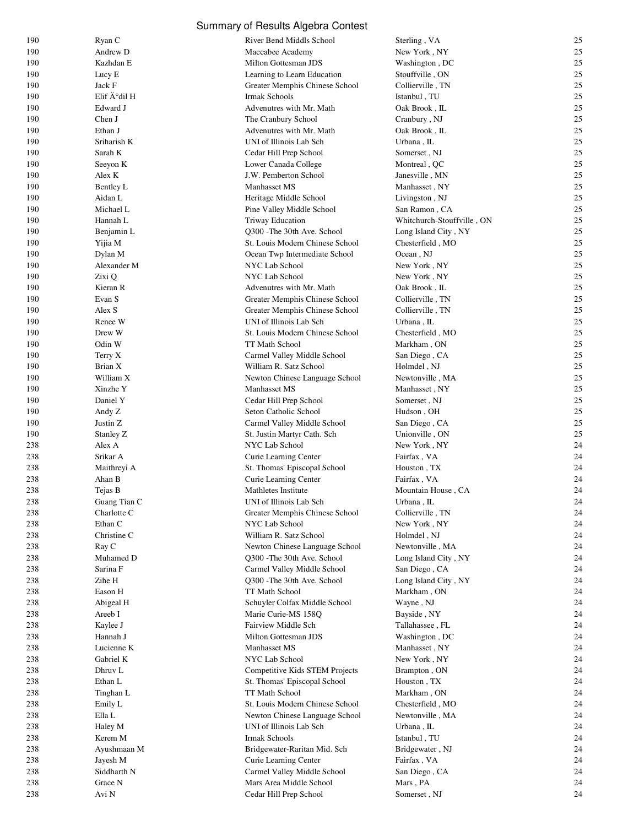|            |                         | Summary of Results Algebra Contest                  |                                          |          |
|------------|-------------------------|-----------------------------------------------------|------------------------------------------|----------|
| 190        | Ryan C                  | River Bend Middls School                            | Sterling, VA                             | 25       |
| 190        | Andrew D                | Maccabee Academy                                    | New York, NY                             | 25       |
| 190        | Kazhdan E               | Milton Gottesman JDS                                | Washington, DC                           | 25       |
| 190        | Lucy E                  | Learning to Learn Education                         | Stouffville, ON                          | 25       |
| 190        | Jack F                  | Greater Memphis Chinese School                      | Collierville, TN                         | 25       |
| 190        | Elif A°dil H            | Irmak Schools                                       | Istanbul, TU                             | 25       |
| 190        | Edward J                | Advenutres with Mr. Math                            | Oak Brook, IL                            | 25       |
| 190        | Chen J                  | The Cranbury School                                 | Cranbury, NJ                             | 25       |
| 190        | Ethan J                 | Advenutres with Mr. Math                            | Oak Brook, IL                            | 25       |
| 190        | Sriharish K             | UNI of Illinois Lab Sch                             | Urbana, IL                               | 25       |
| 190        | Sarah K                 | Cedar Hill Prep School                              | Somerset, NJ                             | 25       |
| 190        | Seeyon K                | Lower Canada College                                | Montreal, QC                             | 25       |
| 190        | Alex K                  | J.W. Pemberton School                               | Janesville, MN                           | 25<br>25 |
| 190<br>190 | Bentley L<br>Aidan L    | Manhasset MS                                        | Manhasset, NY                            | 25       |
| 190        | Michael L               | Heritage Middle School<br>Pine Valley Middle School | Livingston, NJ<br>San Ramon , CA         | 25       |
| 190        | Hannah L                | <b>Triway Education</b>                             | Whitchurch-Stouffville, ON               | 25       |
| 190        | Benjamin L              | Q300 - The 30th Ave. School                         | Long Island City, NY                     | 25       |
| 190        | Yijia M                 | St. Louis Modern Chinese School                     | Chesterfield, MO                         | 25       |
| 190        | Dylan M                 | Ocean Twp Intermediate School                       | Ocean, NJ                                | 25       |
| 190        | Alexander M             | NYC Lab School                                      | New York, NY                             | 25       |
| 190        | Zixi Q                  | NYC Lab School                                      | New York, NY                             | 25       |
| 190        | Kieran R                | Advenutres with Mr. Math                            | Oak Brook, IL                            | 25       |
| 190        | Evan S                  | Greater Memphis Chinese School                      | Collierville, TN                         | 25       |
| 190        | Alex S                  | Greater Memphis Chinese School                      | Collierville, TN                         | 25       |
| 190        | Renee W                 | UNI of Illinois Lab Sch                             | Urbana, IL                               | 25       |
| 190        | Drew W                  | St. Louis Modern Chinese School                     | Chesterfield, MO                         | 25       |
| 190        | Odin W                  | TT Math School                                      | Markham, ON                              | 25       |
| 190        | Terry X                 | Carmel Valley Middle School                         | San Diego, CA                            | 25       |
| 190        | Brian X                 | William R. Satz School                              | Holmdel, NJ                              | 25       |
| 190        | William X               | Newton Chinese Language School                      | Newtonville, MA                          | 25       |
| 190        | Xinzhe Y                | Manhasset MS                                        | Manhasset, NY                            | 25       |
| 190        | Daniel Y                | Cedar Hill Prep School                              | Somerset, NJ                             | 25       |
| 190        | Andy Z                  | Seton Catholic School                               | Hudson, OH                               | 25       |
| 190        | Justin Z                | Carmel Valley Middle School                         | San Diego, CA                            | 25       |
| 190        | Stanley Z               | St. Justin Martyr Cath. Sch                         | Unionville, ON                           | 25       |
| 238        | Alex A                  | NYC Lab School                                      | New York, NY                             | 24       |
| 238        | Srikar A                | Curie Learning Center                               | Fairfax, VA                              | 24       |
| 238<br>238 | Maithreyi A             | St. Thomas' Episcopal School                        | Houston, TX                              | 24<br>24 |
| 238        | Ahan B<br>Tejas B       | Curie Learning Center<br>Mathletes Institute        | Fairfax, VA<br><b>Mountain House, CA</b> | 24       |
| 238        | Guang Tian C            | UNI of Illinois Lab Sch                             | Urbana, IL                               | 24       |
| 238        | Charlotte C             | Greater Memphis Chinese School                      | Collierville, TN                         | 24       |
| 238        | Ethan C                 | NYC Lab School                                      | New York, NY                             | 24       |
| 238        | Christine C             | William R. Satz School                              | Holmdel, NJ                              | 24       |
| 238        | Ray C                   | Newton Chinese Language School                      | Newtonville, MA                          | 24       |
| 238        | Muhamed D               | Q300 - The 30th Ave. School                         | Long Island City, NY                     | 24       |
| 238        | Sarina F                | Carmel Valley Middle School                         | San Diego, CA                            | 24       |
| 238        | Zihe H                  | Q300 - The 30th Ave. School                         | Long Island City, NY                     | 24       |
| 238        | Eason H                 | TT Math School                                      | Markham, ON                              | 24       |
| 238        | Abigeal H               | Schuyler Colfax Middle School                       | Wayne, NJ                                | 24       |
| 238        | Areeb I                 | Marie Curie-MS 158Q                                 | Bayside, NY                              | 24       |
| 238        | Kaylee J                | Fairview Middle Sch                                 | Tallahassee, FL                          | 24       |
| 238        | Hannah J                | Milton Gottesman JDS                                | Washington, DC                           | 24       |
| 238        | Lucienne K              | Manhasset MS                                        | Manhasset, NY                            | 24       |
| 238        | Gabriel K               | NYC Lab School                                      | New York, NY                             | 24       |
| 238        | Dhruv L                 | Competitive Kids STEM Projects                      | Brampton, ON                             | 24       |
| 238        | Ethan L                 | St. Thomas' Episcopal School                        | Houston, TX                              | 24       |
| 238        | Tinghan L               | TT Math School                                      | Markham, ON                              | 24       |
| 238        | Emily L                 | St. Louis Modern Chinese School                     | Chesterfield, MO                         | 24       |
| 238        | Ella L                  | Newton Chinese Language School                      | Newtonville, MA                          | 24       |
| 238        | Haley M                 | UNI of Illinois Lab Sch                             | Urbana, IL                               | 24       |
| 238<br>238 | Kerem M                 | Irmak Schools<br>Bridgewater-Raritan Mid. Sch       | Istanbul, TU<br>Bridgewater, NJ          | 24<br>24 |
| 238        | Ayushmaan M<br>Jayesh M | Curie Learning Center                               | Fairfax, VA                              | 24       |
| 238        | Siddharth N             | Carmel Valley Middle School                         | San Diego, CA                            | 24       |
| 238        | Grace N                 | Mars Area Middle School                             | Mars, PA                                 | 24       |
| 238        | Avi N                   | Cedar Hill Prep School                              | Somerset, NJ                             | 24       |
|            |                         |                                                     |                                          |          |